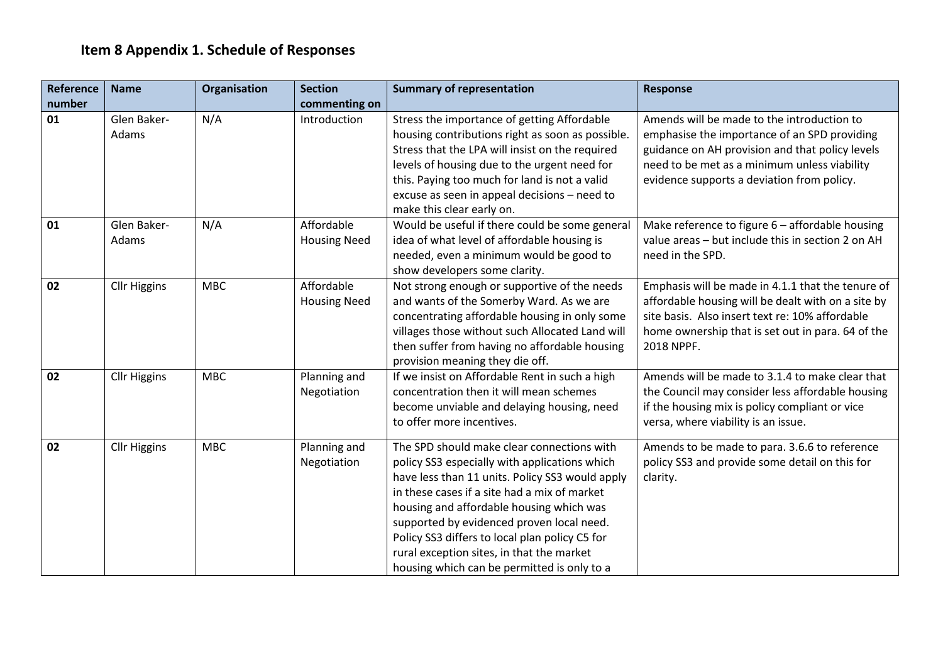## **Item 8 Appendix 1. Schedule of Responses**

| Reference | <b>Name</b>          | Organisation | <b>Section</b>                    | <b>Summary of representation</b>                                                                                                                                                                                                                                                                                                                                                                                                      | <b>Response</b>                                                                                                                                                                                                                             |
|-----------|----------------------|--------------|-----------------------------------|---------------------------------------------------------------------------------------------------------------------------------------------------------------------------------------------------------------------------------------------------------------------------------------------------------------------------------------------------------------------------------------------------------------------------------------|---------------------------------------------------------------------------------------------------------------------------------------------------------------------------------------------------------------------------------------------|
| number    |                      |              | commenting on                     |                                                                                                                                                                                                                                                                                                                                                                                                                                       |                                                                                                                                                                                                                                             |
| 01        | Glen Baker-<br>Adams | N/A          | Introduction                      | Stress the importance of getting Affordable<br>housing contributions right as soon as possible.<br>Stress that the LPA will insist on the required<br>levels of housing due to the urgent need for<br>this. Paying too much for land is not a valid<br>excuse as seen in appeal decisions - need to<br>make this clear early on.                                                                                                      | Amends will be made to the introduction to<br>emphasise the importance of an SPD providing<br>guidance on AH provision and that policy levels<br>need to be met as a minimum unless viability<br>evidence supports a deviation from policy. |
| 01        | Glen Baker-<br>Adams | N/A          | Affordable<br><b>Housing Need</b> | Would be useful if there could be some general<br>idea of what level of affordable housing is<br>needed, even a minimum would be good to<br>show developers some clarity.                                                                                                                                                                                                                                                             | Make reference to figure 6 - affordable housing<br>value areas - but include this in section 2 on AH<br>need in the SPD.                                                                                                                    |
| 02        | <b>Cllr Higgins</b>  | <b>MBC</b>   | Affordable<br><b>Housing Need</b> | Not strong enough or supportive of the needs<br>and wants of the Somerby Ward. As we are<br>concentrating affordable housing in only some<br>villages those without such Allocated Land will<br>then suffer from having no affordable housing<br>provision meaning they die off.                                                                                                                                                      | Emphasis will be made in 4.1.1 that the tenure of<br>affordable housing will be dealt with on a site by<br>site basis. Also insert text re: 10% affordable<br>home ownership that is set out in para. 64 of the<br>2018 NPPF.               |
| 02        | <b>Cllr Higgins</b>  | <b>MBC</b>   | Planning and<br>Negotiation       | If we insist on Affordable Rent in such a high<br>concentration then it will mean schemes<br>become unviable and delaying housing, need<br>to offer more incentives.                                                                                                                                                                                                                                                                  | Amends will be made to 3.1.4 to make clear that<br>the Council may consider less affordable housing<br>if the housing mix is policy compliant or vice<br>versa, where viability is an issue.                                                |
| 02        | <b>Cllr Higgins</b>  | <b>MBC</b>   | Planning and<br>Negotiation       | The SPD should make clear connections with<br>policy SS3 especially with applications which<br>have less than 11 units. Policy SS3 would apply<br>in these cases if a site had a mix of market<br>housing and affordable housing which was<br>supported by evidenced proven local need.<br>Policy SS3 differs to local plan policy C5 for<br>rural exception sites, in that the market<br>housing which can be permitted is only to a | Amends to be made to para. 3.6.6 to reference<br>policy SS3 and provide some detail on this for<br>clarity.                                                                                                                                 |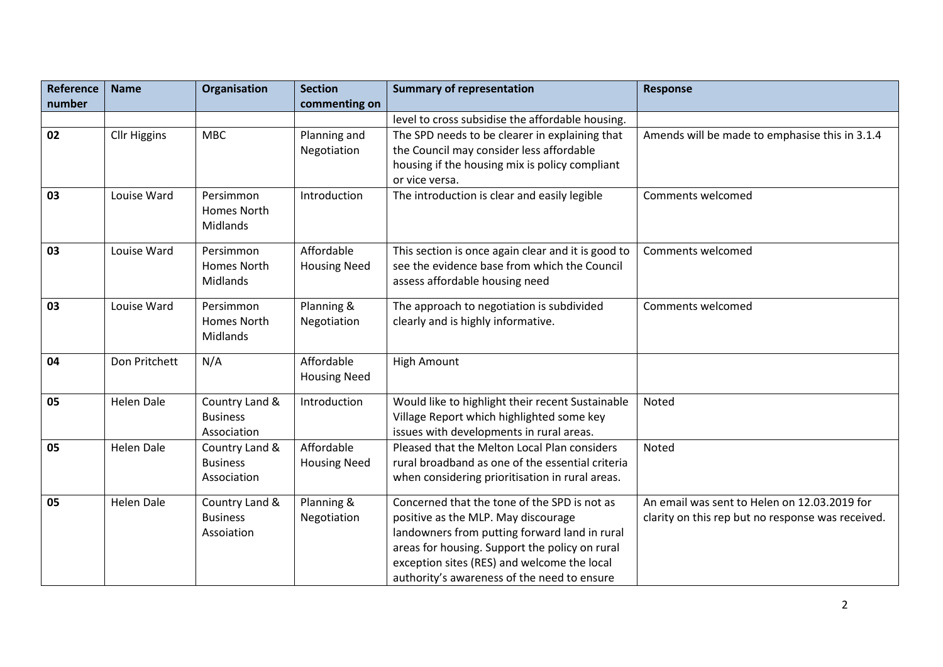| Reference | <b>Name</b>         | Organisation                                     | <b>Section</b>                    | <b>Summary of representation</b>                                                                                                                                                                                                                                                     | <b>Response</b>                                                                                   |
|-----------|---------------------|--------------------------------------------------|-----------------------------------|--------------------------------------------------------------------------------------------------------------------------------------------------------------------------------------------------------------------------------------------------------------------------------------|---------------------------------------------------------------------------------------------------|
| number    |                     |                                                  | commenting on                     |                                                                                                                                                                                                                                                                                      |                                                                                                   |
|           |                     |                                                  |                                   | level to cross subsidise the affordable housing.                                                                                                                                                                                                                                     |                                                                                                   |
| 02        | <b>Cllr Higgins</b> | <b>MBC</b>                                       | Planning and<br>Negotiation       | The SPD needs to be clearer in explaining that<br>the Council may consider less affordable<br>housing if the housing mix is policy compliant<br>or vice versa.                                                                                                                       | Amends will be made to emphasise this in 3.1.4                                                    |
| 03        | Louise Ward         | Persimmon<br>Homes North<br>Midlands             | Introduction                      | The introduction is clear and easily legible                                                                                                                                                                                                                                         | Comments welcomed                                                                                 |
| 03        | Louise Ward         | Persimmon<br>Homes North<br>Midlands             | Affordable<br><b>Housing Need</b> | This section is once again clear and it is good to<br>see the evidence base from which the Council<br>assess affordable housing need                                                                                                                                                 | Comments welcomed                                                                                 |
| 03        | Louise Ward         | Persimmon<br>Homes North<br>Midlands             | Planning &<br>Negotiation         | The approach to negotiation is subdivided<br>clearly and is highly informative.                                                                                                                                                                                                      | Comments welcomed                                                                                 |
| 04        | Don Pritchett       | N/A                                              | Affordable<br><b>Housing Need</b> | <b>High Amount</b>                                                                                                                                                                                                                                                                   |                                                                                                   |
| 05        | <b>Helen Dale</b>   | Country Land &<br><b>Business</b><br>Association | Introduction                      | Would like to highlight their recent Sustainable<br>Village Report which highlighted some key<br>issues with developments in rural areas.                                                                                                                                            | Noted                                                                                             |
| 05        | <b>Helen Dale</b>   | Country Land &<br><b>Business</b><br>Association | Affordable<br><b>Housing Need</b> | Pleased that the Melton Local Plan considers<br>rural broadband as one of the essential criteria<br>when considering prioritisation in rural areas.                                                                                                                                  | Noted                                                                                             |
| 05        | <b>Helen Dale</b>   | Country Land &<br><b>Business</b><br>Assoiation  | Planning &<br>Negotiation         | Concerned that the tone of the SPD is not as<br>positive as the MLP. May discourage<br>landowners from putting forward land in rural<br>areas for housing. Support the policy on rural<br>exception sites (RES) and welcome the local<br>authority's awareness of the need to ensure | An email was sent to Helen on 12.03.2019 for<br>clarity on this rep but no response was received. |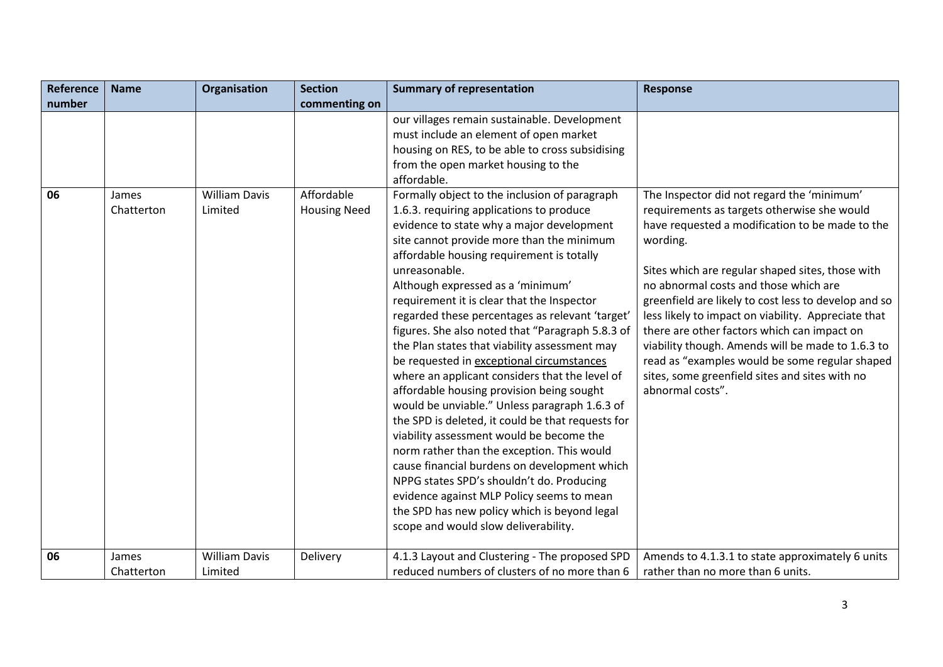| <b>Reference</b> | <b>Name</b>         | Organisation                    | <b>Section</b>                    | <b>Summary of representation</b>                                                                                                                                                                                                                                                                                                                                                                                                                                                                                                                                                                                                                                                                                                                                                                                                                                                                                                                                                                                                                                                                                                         | <b>Response</b>                                                                                                                                                                                                                                                                                                                                                                                                                                                                                                                                                                                  |
|------------------|---------------------|---------------------------------|-----------------------------------|------------------------------------------------------------------------------------------------------------------------------------------------------------------------------------------------------------------------------------------------------------------------------------------------------------------------------------------------------------------------------------------------------------------------------------------------------------------------------------------------------------------------------------------------------------------------------------------------------------------------------------------------------------------------------------------------------------------------------------------------------------------------------------------------------------------------------------------------------------------------------------------------------------------------------------------------------------------------------------------------------------------------------------------------------------------------------------------------------------------------------------------|--------------------------------------------------------------------------------------------------------------------------------------------------------------------------------------------------------------------------------------------------------------------------------------------------------------------------------------------------------------------------------------------------------------------------------------------------------------------------------------------------------------------------------------------------------------------------------------------------|
| number           |                     |                                 | commenting on                     |                                                                                                                                                                                                                                                                                                                                                                                                                                                                                                                                                                                                                                                                                                                                                                                                                                                                                                                                                                                                                                                                                                                                          |                                                                                                                                                                                                                                                                                                                                                                                                                                                                                                                                                                                                  |
| 06               | James<br>Chatterton | <b>William Davis</b><br>Limited | Affordable<br><b>Housing Need</b> | our villages remain sustainable. Development<br>must include an element of open market<br>housing on RES, to be able to cross subsidising<br>from the open market housing to the<br>affordable.<br>Formally object to the inclusion of paragraph<br>1.6.3. requiring applications to produce<br>evidence to state why a major development<br>site cannot provide more than the minimum<br>affordable housing requirement is totally<br>unreasonable.<br>Although expressed as a 'minimum'<br>requirement it is clear that the Inspector<br>regarded these percentages as relevant 'target'<br>figures. She also noted that "Paragraph 5.8.3 of<br>the Plan states that viability assessment may<br>be requested in exceptional circumstances<br>where an applicant considers that the level of<br>affordable housing provision being sought<br>would be unviable." Unless paragraph 1.6.3 of<br>the SPD is deleted, it could be that requests for<br>viability assessment would be become the<br>norm rather than the exception. This would<br>cause financial burdens on development which<br>NPPG states SPD's shouldn't do. Producing | The Inspector did not regard the 'minimum'<br>requirements as targets otherwise she would<br>have requested a modification to be made to the<br>wording.<br>Sites which are regular shaped sites, those with<br>no abnormal costs and those which are<br>greenfield are likely to cost less to develop and so<br>less likely to impact on viability. Appreciate that<br>there are other factors which can impact on<br>viability though. Amends will be made to 1.6.3 to<br>read as "examples would be some regular shaped<br>sites, some greenfield sites and sites with no<br>abnormal costs". |
|                  |                     |                                 |                                   | evidence against MLP Policy seems to mean<br>the SPD has new policy which is beyond legal<br>scope and would slow deliverability.                                                                                                                                                                                                                                                                                                                                                                                                                                                                                                                                                                                                                                                                                                                                                                                                                                                                                                                                                                                                        |                                                                                                                                                                                                                                                                                                                                                                                                                                                                                                                                                                                                  |
| 06               | James<br>Chatterton | <b>William Davis</b><br>Limited | Delivery                          | 4.1.3 Layout and Clustering - The proposed SPD<br>reduced numbers of clusters of no more than 6                                                                                                                                                                                                                                                                                                                                                                                                                                                                                                                                                                                                                                                                                                                                                                                                                                                                                                                                                                                                                                          | Amends to 4.1.3.1 to state approximately 6 units<br>rather than no more than 6 units.                                                                                                                                                                                                                                                                                                                                                                                                                                                                                                            |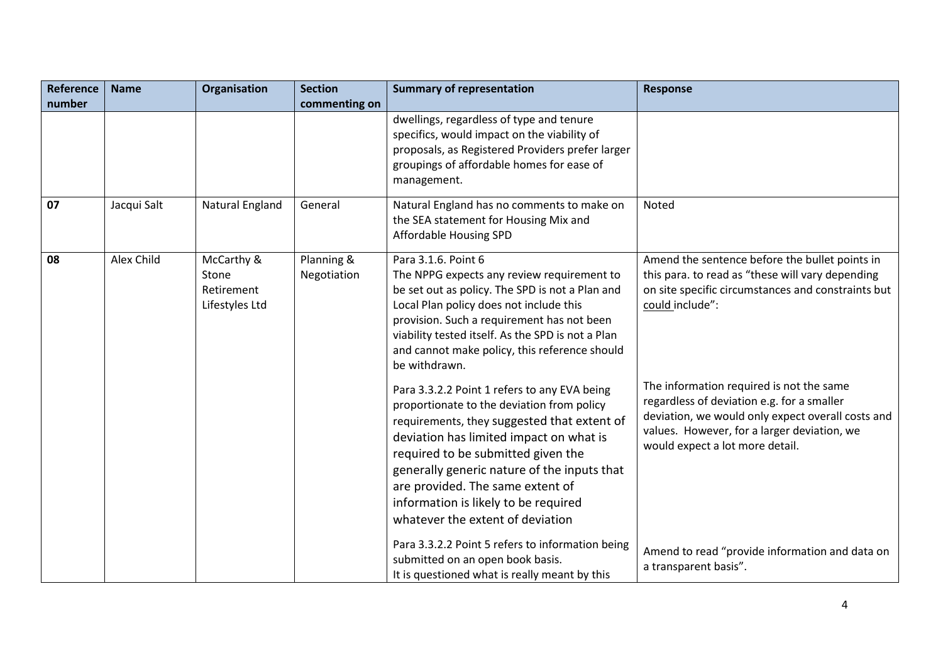| <b>Reference</b> | <b>Name</b> | Organisation                                        | <b>Section</b>            | <b>Summary of representation</b>                                                                                                                                                                                                                                                                                                                                                          | <b>Response</b>                                                                                                                                                                                                               |
|------------------|-------------|-----------------------------------------------------|---------------------------|-------------------------------------------------------------------------------------------------------------------------------------------------------------------------------------------------------------------------------------------------------------------------------------------------------------------------------------------------------------------------------------------|-------------------------------------------------------------------------------------------------------------------------------------------------------------------------------------------------------------------------------|
| number           |             |                                                     | commenting on             |                                                                                                                                                                                                                                                                                                                                                                                           |                                                                                                                                                                                                                               |
|                  |             |                                                     |                           | dwellings, regardless of type and tenure<br>specifics, would impact on the viability of<br>proposals, as Registered Providers prefer larger<br>groupings of affordable homes for ease of<br>management.                                                                                                                                                                                   |                                                                                                                                                                                                                               |
| 07               | Jacqui Salt | Natural England                                     | General                   | Natural England has no comments to make on<br>the SEA statement for Housing Mix and<br>Affordable Housing SPD                                                                                                                                                                                                                                                                             | <b>Noted</b>                                                                                                                                                                                                                  |
| 08               | Alex Child  | McCarthy &<br>Stone<br>Retirement<br>Lifestyles Ltd | Planning &<br>Negotiation | Para 3.1.6. Point 6<br>The NPPG expects any review requirement to<br>be set out as policy. The SPD is not a Plan and<br>Local Plan policy does not include this<br>provision. Such a requirement has not been<br>viability tested itself. As the SPD is not a Plan<br>and cannot make policy, this reference should<br>be withdrawn.                                                      | Amend the sentence before the bullet points in<br>this para. to read as "these will vary depending<br>on site specific circumstances and constraints but<br>could include":                                                   |
|                  |             |                                                     |                           | Para 3.3.2.2 Point 1 refers to any EVA being<br>proportionate to the deviation from policy<br>requirements, they suggested that extent of<br>deviation has limited impact on what is<br>required to be submitted given the<br>generally generic nature of the inputs that<br>are provided. The same extent of<br>information is likely to be required<br>whatever the extent of deviation | The information required is not the same<br>regardless of deviation e.g. for a smaller<br>deviation, we would only expect overall costs and<br>values. However, for a larger deviation, we<br>would expect a lot more detail. |
|                  |             |                                                     |                           | Para 3.3.2.2 Point 5 refers to information being<br>submitted on an open book basis.<br>It is questioned what is really meant by this                                                                                                                                                                                                                                                     | Amend to read "provide information and data on<br>a transparent basis".                                                                                                                                                       |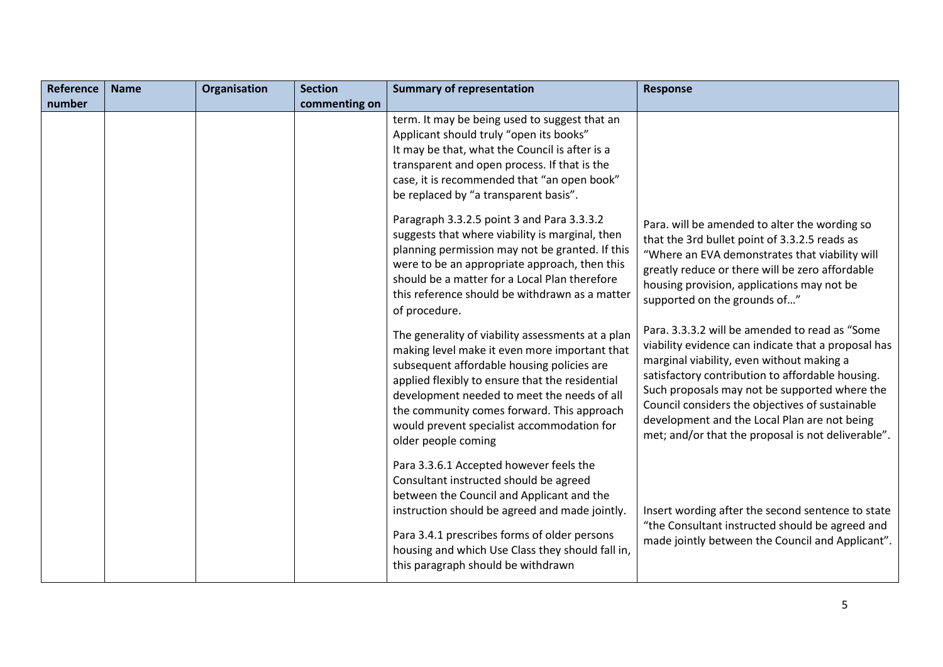| Reference | <b>Name</b> | Organisation | <b>Section</b> | <b>Summary of representation</b>                                                                                                                                                                                                                                                                                                                                      | <b>Response</b>                                                                                                                                                                                                                                                                                                                                                                                                  |
|-----------|-------------|--------------|----------------|-----------------------------------------------------------------------------------------------------------------------------------------------------------------------------------------------------------------------------------------------------------------------------------------------------------------------------------------------------------------------|------------------------------------------------------------------------------------------------------------------------------------------------------------------------------------------------------------------------------------------------------------------------------------------------------------------------------------------------------------------------------------------------------------------|
| number    |             |              | commenting on  |                                                                                                                                                                                                                                                                                                                                                                       |                                                                                                                                                                                                                                                                                                                                                                                                                  |
|           |             |              |                | term. It may be being used to suggest that an<br>Applicant should truly "open its books"<br>It may be that, what the Council is after is a<br>transparent and open process. If that is the<br>case, it is recommended that "an open book"<br>be replaced by "a transparent basis".                                                                                    |                                                                                                                                                                                                                                                                                                                                                                                                                  |
|           |             |              |                | Paragraph 3.3.2.5 point 3 and Para 3.3.3.2<br>suggests that where viability is marginal, then<br>planning permission may not be granted. If this<br>were to be an appropriate approach, then this<br>should be a matter for a Local Plan therefore<br>this reference should be withdrawn as a matter<br>of procedure.                                                 | Para. will be amended to alter the wording so<br>that the 3rd bullet point of 3.3.2.5 reads as<br>"Where an EVA demonstrates that viability will<br>greatly reduce or there will be zero affordable<br>housing provision, applications may not be<br>supported on the grounds of"                                                                                                                                |
|           |             |              |                | The generality of viability assessments at a plan<br>making level make it even more important that<br>subsequent affordable housing policies are<br>applied flexibly to ensure that the residential<br>development needed to meet the needs of all<br>the community comes forward. This approach<br>would prevent specialist accommodation for<br>older people coming | Para. 3.3.3.2 will be amended to read as "Some<br>viability evidence can indicate that a proposal has<br>marginal viability, even without making a<br>satisfactory contribution to affordable housing.<br>Such proposals may not be supported where the<br>Council considers the objectives of sustainable<br>development and the Local Plan are not being<br>met; and/or that the proposal is not deliverable". |
|           |             |              |                | Para 3.3.6.1 Accepted however feels the<br>Consultant instructed should be agreed<br>between the Council and Applicant and the<br>instruction should be agreed and made jointly.<br>Para 3.4.1 prescribes forms of older persons<br>housing and which Use Class they should fall in,<br>this paragraph should be withdrawn                                            | Insert wording after the second sentence to state<br>"the Consultant instructed should be agreed and<br>made jointly between the Council and Applicant".                                                                                                                                                                                                                                                         |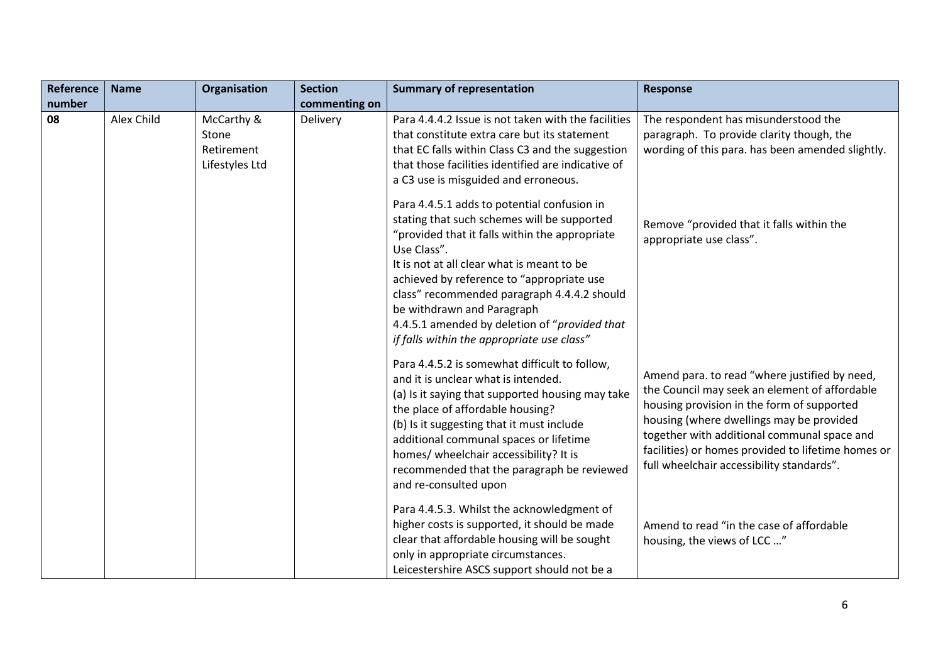| Reference | <b>Name</b> | Organisation                                        | <b>Section</b> | <b>Summary of representation</b>                                                                                                                                                                                                                                                                                                                                                                                                   | <b>Response</b>                                                                                                                                                                                                                                                                                                                            |
|-----------|-------------|-----------------------------------------------------|----------------|------------------------------------------------------------------------------------------------------------------------------------------------------------------------------------------------------------------------------------------------------------------------------------------------------------------------------------------------------------------------------------------------------------------------------------|--------------------------------------------------------------------------------------------------------------------------------------------------------------------------------------------------------------------------------------------------------------------------------------------------------------------------------------------|
| number    |             |                                                     | commenting on  |                                                                                                                                                                                                                                                                                                                                                                                                                                    |                                                                                                                                                                                                                                                                                                                                            |
| 08        | Alex Child  | McCarthy &<br>Stone<br>Retirement<br>Lifestyles Ltd | Delivery       | Para 4.4.4.2 Issue is not taken with the facilities<br>that constitute extra care but its statement<br>that EC falls within Class C3 and the suggestion<br>that those facilities identified are indicative of<br>a C3 use is misguided and erroneous.                                                                                                                                                                              | The respondent has misunderstood the<br>paragraph. To provide clarity though, the<br>wording of this para. has been amended slightly.                                                                                                                                                                                                      |
|           |             |                                                     |                | Para 4.4.5.1 adds to potential confusion in<br>stating that such schemes will be supported<br>"provided that it falls within the appropriate<br>Use Class".<br>It is not at all clear what is meant to be<br>achieved by reference to "appropriate use<br>class" recommended paragraph 4.4.4.2 should<br>be withdrawn and Paragraph<br>4.4.5.1 amended by deletion of "provided that                                               | Remove "provided that it falls within the<br>appropriate use class".                                                                                                                                                                                                                                                                       |
|           |             |                                                     |                | if falls within the appropriate use class"<br>Para 4.4.5.2 is somewhat difficult to follow,<br>and it is unclear what is intended.<br>(a) Is it saying that supported housing may take<br>the place of affordable housing?<br>(b) Is it suggesting that it must include<br>additional communal spaces or lifetime<br>homes/ wheelchair accessibility? It is<br>recommended that the paragraph be reviewed<br>and re-consulted upon | Amend para. to read "where justified by need,<br>the Council may seek an element of affordable<br>housing provision in the form of supported<br>housing (where dwellings may be provided<br>together with additional communal space and<br>facilities) or homes provided to lifetime homes or<br>full wheelchair accessibility standards". |
|           |             |                                                     |                | Para 4.4.5.3. Whilst the acknowledgment of<br>higher costs is supported, it should be made<br>clear that affordable housing will be sought<br>only in appropriate circumstances.<br>Leicestershire ASCS support should not be a                                                                                                                                                                                                    | Amend to read "in the case of affordable<br>housing, the views of LCC "                                                                                                                                                                                                                                                                    |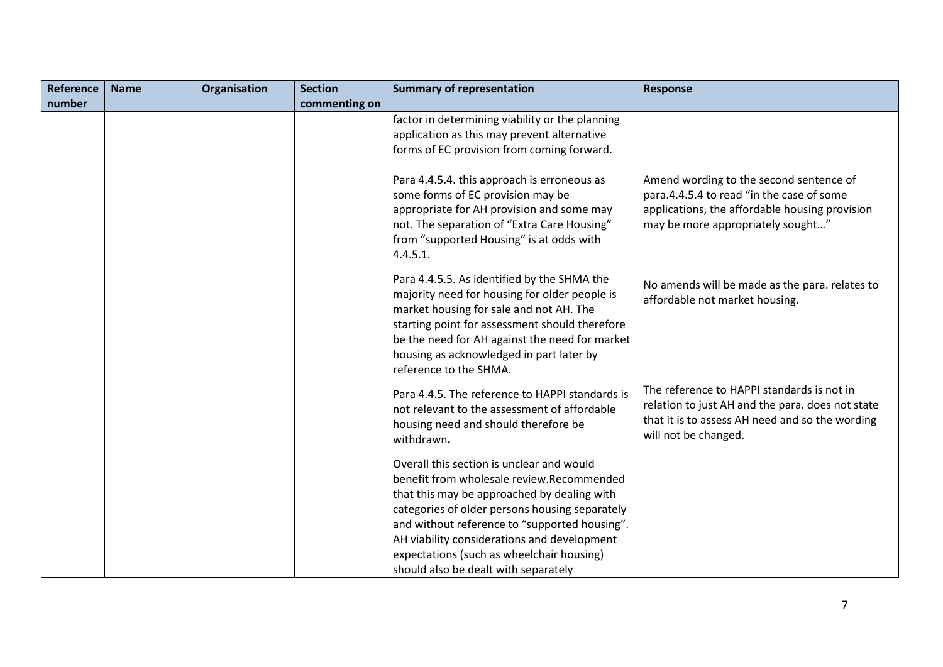| <b>Reference</b> | <b>Name</b> | <b>Organisation</b> | <b>Section</b> | <b>Summary of representation</b>                                                                                                                                                                                                                                                                                                                                             | <b>Response</b>                                                                                                                                                             |
|------------------|-------------|---------------------|----------------|------------------------------------------------------------------------------------------------------------------------------------------------------------------------------------------------------------------------------------------------------------------------------------------------------------------------------------------------------------------------------|-----------------------------------------------------------------------------------------------------------------------------------------------------------------------------|
| number           |             |                     | commenting on  |                                                                                                                                                                                                                                                                                                                                                                              |                                                                                                                                                                             |
|                  |             |                     |                | factor in determining viability or the planning<br>application as this may prevent alternative<br>forms of EC provision from coming forward.                                                                                                                                                                                                                                 |                                                                                                                                                                             |
|                  |             |                     |                | Para 4.4.5.4. this approach is erroneous as<br>some forms of EC provision may be<br>appropriate for AH provision and some may<br>not. The separation of "Extra Care Housing"<br>from "supported Housing" is at odds with<br>4.4.5.1.                                                                                                                                         | Amend wording to the second sentence of<br>para.4.4.5.4 to read "in the case of some<br>applications, the affordable housing provision<br>may be more appropriately sought" |
|                  |             |                     |                | Para 4.4.5.5. As identified by the SHMA the<br>majority need for housing for older people is<br>market housing for sale and not AH. The<br>starting point for assessment should therefore<br>be the need for AH against the need for market<br>housing as acknowledged in part later by<br>reference to the SHMA.                                                            | No amends will be made as the para. relates to<br>affordable not market housing.                                                                                            |
|                  |             |                     |                | Para 4.4.5. The reference to HAPPI standards is<br>not relevant to the assessment of affordable<br>housing need and should therefore be<br>withdrawn.                                                                                                                                                                                                                        | The reference to HAPPI standards is not in<br>relation to just AH and the para. does not state<br>that it is to assess AH need and so the wording<br>will not be changed.   |
|                  |             |                     |                | Overall this section is unclear and would<br>benefit from wholesale review.Recommended<br>that this may be approached by dealing with<br>categories of older persons housing separately<br>and without reference to "supported housing".<br>AH viability considerations and development<br>expectations (such as wheelchair housing)<br>should also be dealt with separately |                                                                                                                                                                             |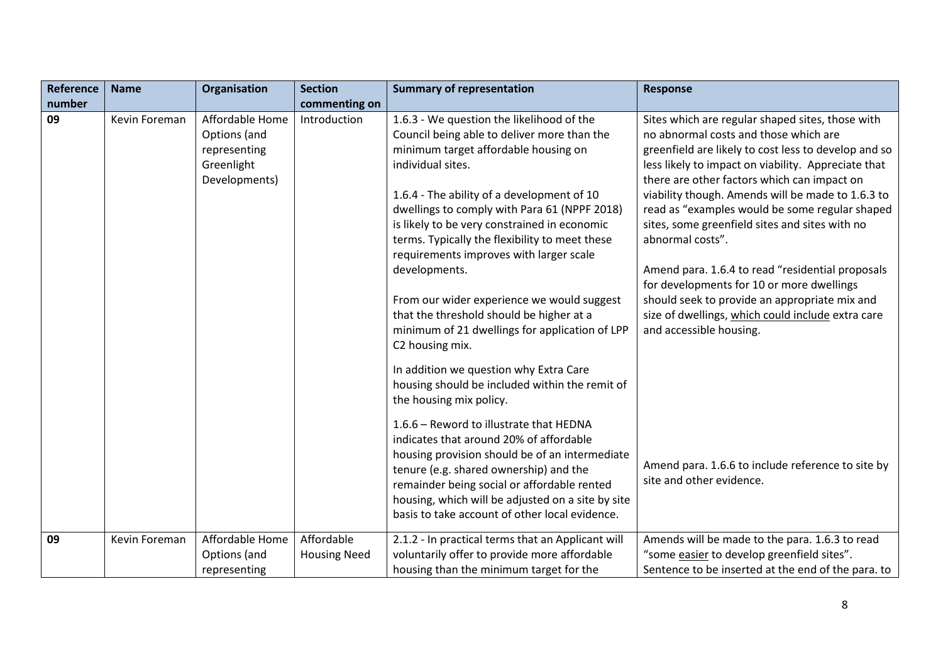| <b>Reference</b> | <b>Name</b>   | Organisation                                                                   | <b>Section</b>                    | <b>Summary of representation</b>                                                                                                                                                                                                                                                                                                                                                                                                                                                                                                                                                                                                                                                                        | <b>Response</b>                                                                                                                                                                                                                                                                                                                                                                                                                                                                                                                                                                                                                                                        |
|------------------|---------------|--------------------------------------------------------------------------------|-----------------------------------|---------------------------------------------------------------------------------------------------------------------------------------------------------------------------------------------------------------------------------------------------------------------------------------------------------------------------------------------------------------------------------------------------------------------------------------------------------------------------------------------------------------------------------------------------------------------------------------------------------------------------------------------------------------------------------------------------------|------------------------------------------------------------------------------------------------------------------------------------------------------------------------------------------------------------------------------------------------------------------------------------------------------------------------------------------------------------------------------------------------------------------------------------------------------------------------------------------------------------------------------------------------------------------------------------------------------------------------------------------------------------------------|
| number           |               |                                                                                | commenting on                     |                                                                                                                                                                                                                                                                                                                                                                                                                                                                                                                                                                                                                                                                                                         |                                                                                                                                                                                                                                                                                                                                                                                                                                                                                                                                                                                                                                                                        |
| 09               | Kevin Foreman | Affordable Home<br>Options (and<br>representing<br>Greenlight<br>Developments) | Introduction                      | 1.6.3 - We question the likelihood of the<br>Council being able to deliver more than the<br>minimum target affordable housing on<br>individual sites.<br>1.6.4 - The ability of a development of 10<br>dwellings to comply with Para 61 (NPPF 2018)<br>is likely to be very constrained in economic<br>terms. Typically the flexibility to meet these<br>requirements improves with larger scale<br>developments.<br>From our wider experience we would suggest<br>that the threshold should be higher at a<br>minimum of 21 dwellings for application of LPP<br>C2 housing mix.<br>In addition we question why Extra Care<br>housing should be included within the remit of<br>the housing mix policy. | Sites which are regular shaped sites, those with<br>no abnormal costs and those which are<br>greenfield are likely to cost less to develop and so<br>less likely to impact on viability. Appreciate that<br>there are other factors which can impact on<br>viability though. Amends will be made to 1.6.3 to<br>read as "examples would be some regular shaped<br>sites, some greenfield sites and sites with no<br>abnormal costs".<br>Amend para. 1.6.4 to read "residential proposals<br>for developments for 10 or more dwellings<br>should seek to provide an appropriate mix and<br>size of dwellings, which could include extra care<br>and accessible housing. |
|                  |               |                                                                                |                                   | 1.6.6 - Reword to illustrate that HEDNA<br>indicates that around 20% of affordable<br>housing provision should be of an intermediate<br>tenure (e.g. shared ownership) and the<br>remainder being social or affordable rented<br>housing, which will be adjusted on a site by site<br>basis to take account of other local evidence.                                                                                                                                                                                                                                                                                                                                                                    | Amend para. 1.6.6 to include reference to site by<br>site and other evidence.                                                                                                                                                                                                                                                                                                                                                                                                                                                                                                                                                                                          |
| 09               | Kevin Foreman | Affordable Home<br>Options (and<br>representing                                | Affordable<br><b>Housing Need</b> | 2.1.2 - In practical terms that an Applicant will<br>voluntarily offer to provide more affordable<br>housing than the minimum target for the                                                                                                                                                                                                                                                                                                                                                                                                                                                                                                                                                            | Amends will be made to the para. 1.6.3 to read<br>"some easier to develop greenfield sites".<br>Sentence to be inserted at the end of the para. to                                                                                                                                                                                                                                                                                                                                                                                                                                                                                                                     |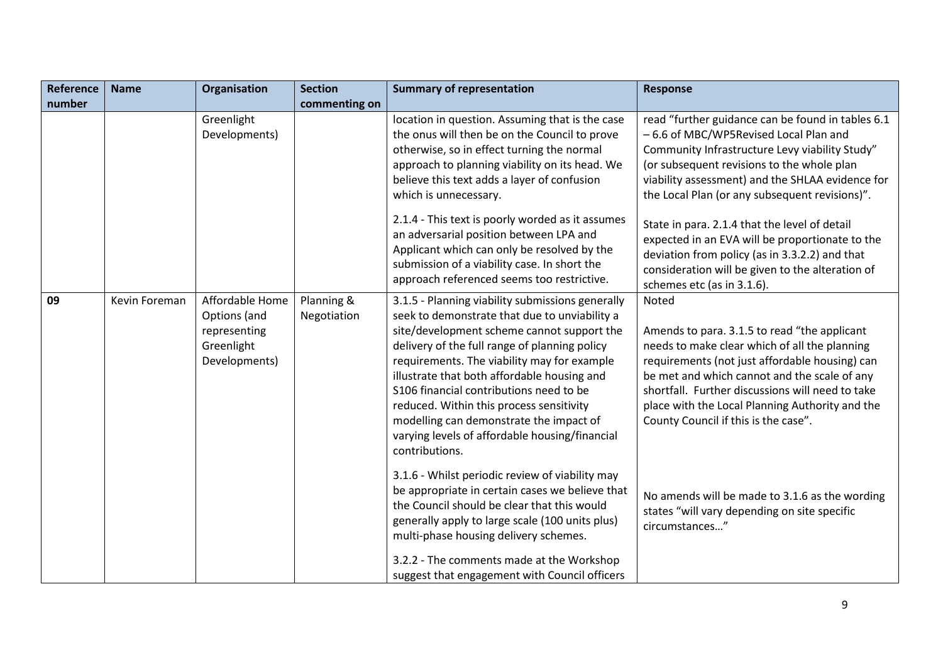| <b>Reference</b> | <b>Name</b>   | Organisation                                                                   | <b>Section</b>            | <b>Summary of representation</b>                                                                                                                                                                                                                                                                                                                                                                                                                                                                     | Response                                                                                                                                                                                                                                                                                                                                                |
|------------------|---------------|--------------------------------------------------------------------------------|---------------------------|------------------------------------------------------------------------------------------------------------------------------------------------------------------------------------------------------------------------------------------------------------------------------------------------------------------------------------------------------------------------------------------------------------------------------------------------------------------------------------------------------|---------------------------------------------------------------------------------------------------------------------------------------------------------------------------------------------------------------------------------------------------------------------------------------------------------------------------------------------------------|
| number           |               |                                                                                | commenting on             |                                                                                                                                                                                                                                                                                                                                                                                                                                                                                                      |                                                                                                                                                                                                                                                                                                                                                         |
|                  |               | Greenlight<br>Developments)                                                    |                           | location in question. Assuming that is the case<br>the onus will then be on the Council to prove<br>otherwise, so in effect turning the normal<br>approach to planning viability on its head. We<br>believe this text adds a layer of confusion<br>which is unnecessary.                                                                                                                                                                                                                             | read "further guidance can be found in tables 6.1<br>- 6.6 of MBC/WP5Revised Local Plan and<br>Community Infrastructure Levy viability Study"<br>(or subsequent revisions to the whole plan<br>viability assessment) and the SHLAA evidence for<br>the Local Plan (or any subsequent revisions)".                                                       |
|                  |               |                                                                                |                           | 2.1.4 - This text is poorly worded as it assumes<br>an adversarial position between LPA and<br>Applicant which can only be resolved by the<br>submission of a viability case. In short the<br>approach referenced seems too restrictive.                                                                                                                                                                                                                                                             | State in para. 2.1.4 that the level of detail<br>expected in an EVA will be proportionate to the<br>deviation from policy (as in 3.3.2.2) and that<br>consideration will be given to the alteration of<br>schemes etc (as in 3.1.6).                                                                                                                    |
| 09               | Kevin Foreman | Affordable Home<br>Options (and<br>representing<br>Greenlight<br>Developments) | Planning &<br>Negotiation | 3.1.5 - Planning viability submissions generally<br>seek to demonstrate that due to unviability a<br>site/development scheme cannot support the<br>delivery of the full range of planning policy<br>requirements. The viability may for example<br>illustrate that both affordable housing and<br>S106 financial contributions need to be<br>reduced. Within this process sensitivity<br>modelling can demonstrate the impact of<br>varying levels of affordable housing/financial<br>contributions. | Noted<br>Amends to para. 3.1.5 to read "the applicant<br>needs to make clear which of all the planning<br>requirements (not just affordable housing) can<br>be met and which cannot and the scale of any<br>shortfall. Further discussions will need to take<br>place with the Local Planning Authority and the<br>County Council if this is the case". |
|                  |               |                                                                                |                           | 3.1.6 - Whilst periodic review of viability may<br>be appropriate in certain cases we believe that<br>the Council should be clear that this would<br>generally apply to large scale (100 units plus)<br>multi-phase housing delivery schemes.<br>3.2.2 - The comments made at the Workshop<br>suggest that engagement with Council officers                                                                                                                                                          | No amends will be made to 3.1.6 as the wording<br>states "will vary depending on site specific<br>circumstances"                                                                                                                                                                                                                                        |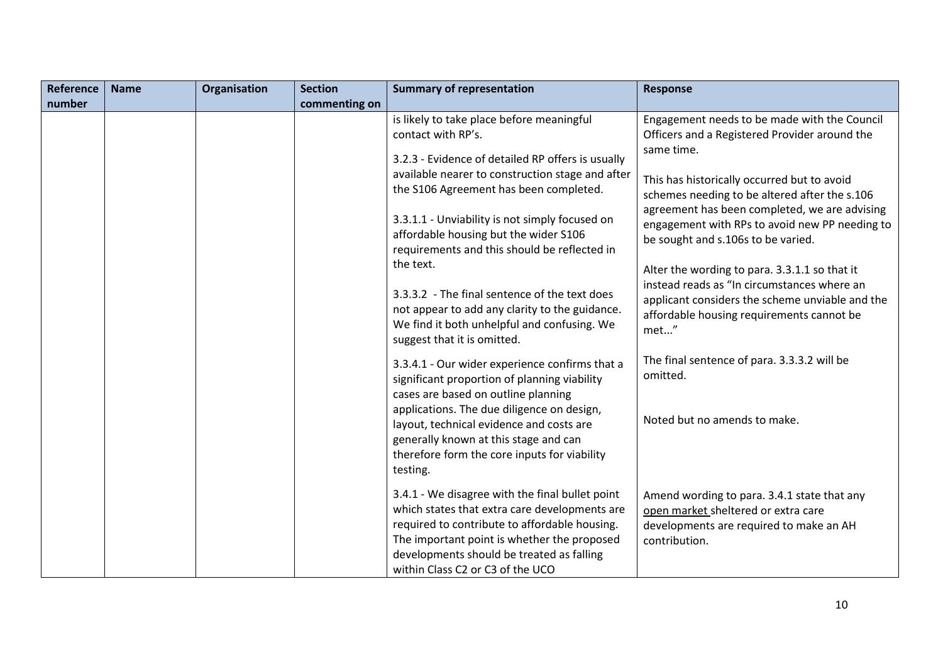| <b>Reference</b> | <b>Name</b> | Organisation                                                                                                                                                                                | <b>Section</b>               | <b>Summary of representation</b>                                                                                                                                                                                                                                                  | <b>Response</b>                                                                                                                                |
|------------------|-------------|---------------------------------------------------------------------------------------------------------------------------------------------------------------------------------------------|------------------------------|-----------------------------------------------------------------------------------------------------------------------------------------------------------------------------------------------------------------------------------------------------------------------------------|------------------------------------------------------------------------------------------------------------------------------------------------|
| number           |             |                                                                                                                                                                                             | commenting on                |                                                                                                                                                                                                                                                                                   |                                                                                                                                                |
|                  |             |                                                                                                                                                                                             |                              | is likely to take place before meaningful<br>contact with RP's.                                                                                                                                                                                                                   | Engagement needs to be made with the Council<br>Officers and a Registered Provider around the<br>same time.                                    |
|                  |             |                                                                                                                                                                                             |                              | 3.2.3 - Evidence of detailed RP offers is usually<br>available nearer to construction stage and after<br>the S106 Agreement has been completed.                                                                                                                                   | This has historically occurred but to avoid<br>schemes needing to be altered after the s.106                                                   |
|                  |             |                                                                                                                                                                                             |                              | 3.3.1.1 - Unviability is not simply focused on<br>affordable housing but the wider S106<br>requirements and this should be reflected in                                                                                                                                           | agreement has been completed, we are advising<br>engagement with RPs to avoid new PP needing to<br>be sought and s.106s to be varied.          |
|                  |             |                                                                                                                                                                                             |                              | the text.<br>3.3.3.2 - The final sentence of the text does                                                                                                                                                                                                                        | Alter the wording to para. 3.3.1.1 so that it<br>instead reads as "In circumstances where an                                                   |
|                  |             |                                                                                                                                                                                             |                              | not appear to add any clarity to the guidance.<br>We find it both unhelpful and confusing. We<br>suggest that it is omitted.                                                                                                                                                      | applicant considers the scheme unviable and the<br>affordable housing requirements cannot be<br>met"                                           |
|                  |             |                                                                                                                                                                                             |                              | 3.3.4.1 - Our wider experience confirms that a<br>significant proportion of planning viability<br>cases are based on outline planning                                                                                                                                             | The final sentence of para. 3.3.3.2 will be<br>omitted.                                                                                        |
|                  |             | applications. The due diligence on design,<br>layout, technical evidence and costs are<br>generally known at this stage and can<br>therefore form the core inputs for viability<br>testing. | Noted but no amends to make. |                                                                                                                                                                                                                                                                                   |                                                                                                                                                |
|                  |             |                                                                                                                                                                                             |                              | 3.4.1 - We disagree with the final bullet point<br>which states that extra care developments are<br>required to contribute to affordable housing.<br>The important point is whether the proposed<br>developments should be treated as falling<br>within Class C2 or C3 of the UCO | Amend wording to para. 3.4.1 state that any<br>open market sheltered or extra care<br>developments are required to make an AH<br>contribution. |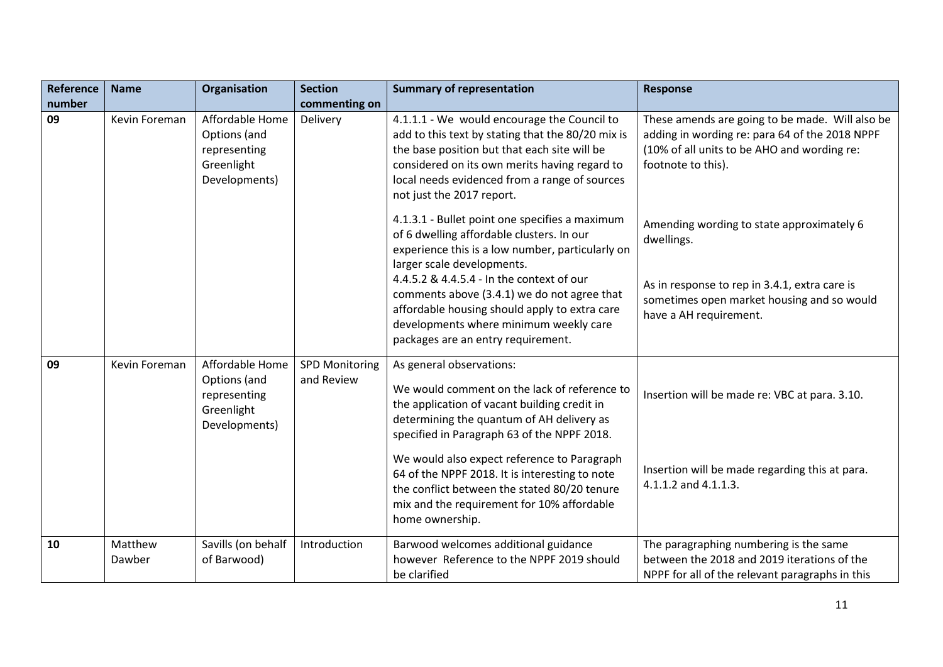| <b>Reference</b> | <b>Name</b>       | Organisation                                                                   | <b>Section</b>                      | <b>Summary of representation</b>                                                                                                                                                                                                                                                                                                                                                                                                       | <b>Response</b>                                                                                                                                                        |
|------------------|-------------------|--------------------------------------------------------------------------------|-------------------------------------|----------------------------------------------------------------------------------------------------------------------------------------------------------------------------------------------------------------------------------------------------------------------------------------------------------------------------------------------------------------------------------------------------------------------------------------|------------------------------------------------------------------------------------------------------------------------------------------------------------------------|
| number           |                   |                                                                                | commenting on                       |                                                                                                                                                                                                                                                                                                                                                                                                                                        |                                                                                                                                                                        |
| 09               | Kevin Foreman     | Affordable Home<br>Options (and<br>representing<br>Greenlight<br>Developments) | Delivery                            | 4.1.1.1 - We would encourage the Council to<br>add to this text by stating that the 80/20 mix is<br>the base position but that each site will be<br>considered on its own merits having regard to<br>local needs evidenced from a range of sources<br>not just the 2017 report.                                                                                                                                                        | These amends are going to be made. Will also be<br>adding in wording re: para 64 of the 2018 NPPF<br>(10% of all units to be AHO and wording re:<br>footnote to this). |
|                  |                   |                                                                                |                                     | 4.1.3.1 - Bullet point one specifies a maximum<br>of 6 dwelling affordable clusters. In our<br>experience this is a low number, particularly on<br>larger scale developments.                                                                                                                                                                                                                                                          | Amending wording to state approximately 6<br>dwellings.                                                                                                                |
|                  |                   |                                                                                |                                     | 4.4.5.2 & 4.4.5.4 - In the context of our<br>comments above (3.4.1) we do not agree that<br>affordable housing should apply to extra care<br>developments where minimum weekly care<br>packages are an entry requirement.                                                                                                                                                                                                              | As in response to rep in 3.4.1, extra care is<br>sometimes open market housing and so would<br>have a AH requirement.                                                  |
| 09               | Kevin Foreman     | Affordable Home<br>Options (and<br>representing<br>Greenlight<br>Developments) | <b>SPD Monitoring</b><br>and Review | As general observations:<br>We would comment on the lack of reference to<br>the application of vacant building credit in<br>determining the quantum of AH delivery as<br>specified in Paragraph 63 of the NPPF 2018.<br>We would also expect reference to Paragraph<br>64 of the NPPF 2018. It is interesting to note<br>the conflict between the stated 80/20 tenure<br>mix and the requirement for 10% affordable<br>home ownership. | Insertion will be made re: VBC at para. 3.10.<br>Insertion will be made regarding this at para.<br>4.1.1.2 and 4.1.1.3.                                                |
| 10               | Matthew<br>Dawber | Savills (on behalf<br>of Barwood)                                              | Introduction                        | Barwood welcomes additional guidance<br>however Reference to the NPPF 2019 should<br>be clarified                                                                                                                                                                                                                                                                                                                                      | The paragraphing numbering is the same<br>between the 2018 and 2019 iterations of the<br>NPPF for all of the relevant paragraphs in this                               |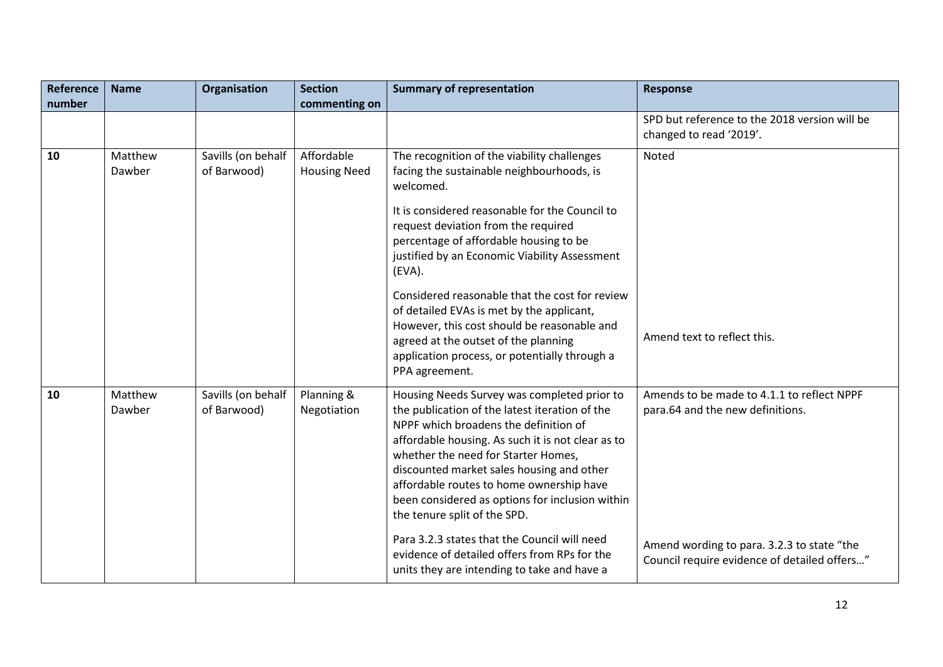| <b>Reference</b> | <b>Name</b>       | Organisation                      | <b>Section</b>                    | <b>Summary of representation</b>                                                                                                                                                                                                                                                                                                                                                                               | <b>Response</b>                                                                            |
|------------------|-------------------|-----------------------------------|-----------------------------------|----------------------------------------------------------------------------------------------------------------------------------------------------------------------------------------------------------------------------------------------------------------------------------------------------------------------------------------------------------------------------------------------------------------|--------------------------------------------------------------------------------------------|
| number           |                   |                                   | commenting on                     |                                                                                                                                                                                                                                                                                                                                                                                                                |                                                                                            |
|                  |                   |                                   |                                   |                                                                                                                                                                                                                                                                                                                                                                                                                | SPD but reference to the 2018 version will be<br>changed to read '2019'.                   |
| 10               | Matthew<br>Dawber | Savills (on behalf<br>of Barwood) | Affordable<br><b>Housing Need</b> | The recognition of the viability challenges<br>facing the sustainable neighbourhoods, is<br>welcomed.                                                                                                                                                                                                                                                                                                          | Noted                                                                                      |
|                  |                   |                                   |                                   | It is considered reasonable for the Council to<br>request deviation from the required<br>percentage of affordable housing to be<br>justified by an Economic Viability Assessment<br>(EVA).                                                                                                                                                                                                                     |                                                                                            |
|                  |                   |                                   |                                   | Considered reasonable that the cost for review<br>of detailed EVAs is met by the applicant,<br>However, this cost should be reasonable and<br>agreed at the outset of the planning<br>application process, or potentially through a<br>PPA agreement.                                                                                                                                                          | Amend text to reflect this.                                                                |
| 10               | Matthew<br>Dawber | Savills (on behalf<br>of Barwood) | Planning &<br>Negotiation         | Housing Needs Survey was completed prior to<br>the publication of the latest iteration of the<br>NPPF which broadens the definition of<br>affordable housing. As such it is not clear as to<br>whether the need for Starter Homes,<br>discounted market sales housing and other<br>affordable routes to home ownership have<br>been considered as options for inclusion within<br>the tenure split of the SPD. | Amends to be made to 4.1.1 to reflect NPPF<br>para.64 and the new definitions.             |
|                  |                   |                                   |                                   | Para 3.2.3 states that the Council will need<br>evidence of detailed offers from RPs for the<br>units they are intending to take and have a                                                                                                                                                                                                                                                                    | Amend wording to para. 3.2.3 to state "the<br>Council require evidence of detailed offers" |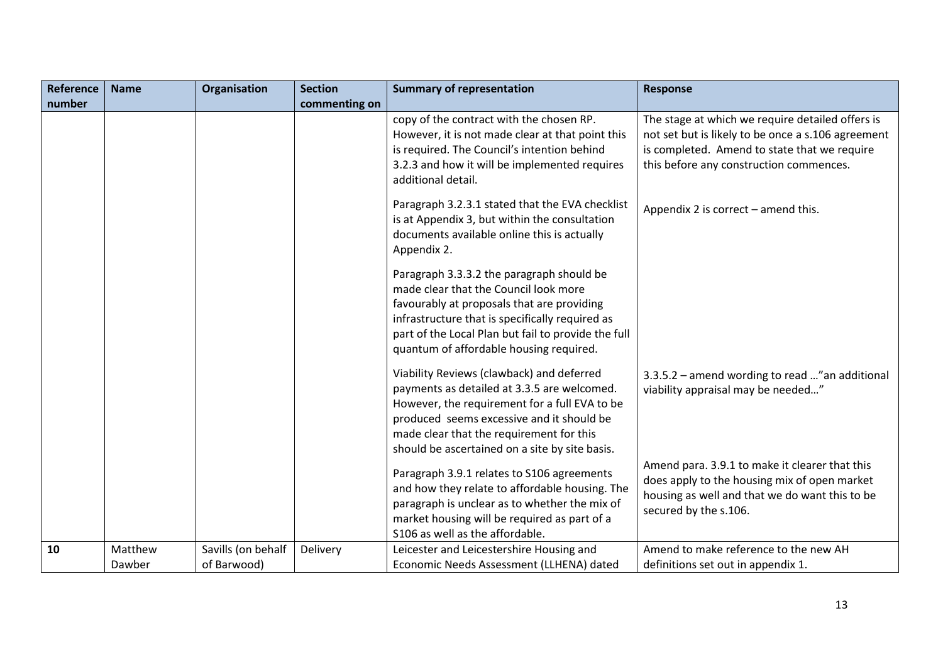| Reference | <b>Name</b>       | Organisation                      | <b>Section</b> | <b>Summary of representation</b>                                                                                                                                                                                                                                                      | <b>Response</b>                                                                                                                                                                                   |
|-----------|-------------------|-----------------------------------|----------------|---------------------------------------------------------------------------------------------------------------------------------------------------------------------------------------------------------------------------------------------------------------------------------------|---------------------------------------------------------------------------------------------------------------------------------------------------------------------------------------------------|
| number    |                   |                                   | commenting on  |                                                                                                                                                                                                                                                                                       |                                                                                                                                                                                                   |
|           |                   |                                   |                | copy of the contract with the chosen RP.<br>However, it is not made clear at that point this<br>is required. The Council's intention behind<br>3.2.3 and how it will be implemented requires<br>additional detail.                                                                    | The stage at which we require detailed offers is<br>not set but is likely to be once a s.106 agreement<br>is completed. Amend to state that we require<br>this before any construction commences. |
|           |                   |                                   |                | Paragraph 3.2.3.1 stated that the EVA checklist<br>is at Appendix 3, but within the consultation<br>documents available online this is actually<br>Appendix 2.                                                                                                                        | Appendix 2 is correct - amend this.                                                                                                                                                               |
|           |                   |                                   |                | Paragraph 3.3.3.2 the paragraph should be<br>made clear that the Council look more<br>favourably at proposals that are providing<br>infrastructure that is specifically required as<br>part of the Local Plan but fail to provide the full<br>quantum of affordable housing required. |                                                                                                                                                                                                   |
|           |                   |                                   |                | Viability Reviews (clawback) and deferred<br>payments as detailed at 3.3.5 are welcomed.<br>However, the requirement for a full EVA to be<br>produced seems excessive and it should be<br>made clear that the requirement for this<br>should be ascertained on a site by site basis.  | 3.3.5.2 - amend wording to read " an additional<br>viability appraisal may be needed"                                                                                                             |
|           |                   |                                   |                | Paragraph 3.9.1 relates to S106 agreements<br>and how they relate to affordable housing. The<br>paragraph is unclear as to whether the mix of<br>market housing will be required as part of a<br>S106 as well as the affordable.                                                      | Amend para. 3.9.1 to make it clearer that this<br>does apply to the housing mix of open market<br>housing as well and that we do want this to be<br>secured by the s.106.                         |
| 10        | Matthew<br>Dawber | Savills (on behalf<br>of Barwood) | Delivery       | Leicester and Leicestershire Housing and<br>Economic Needs Assessment (LLHENA) dated                                                                                                                                                                                                  | Amend to make reference to the new AH<br>definitions set out in appendix 1.                                                                                                                       |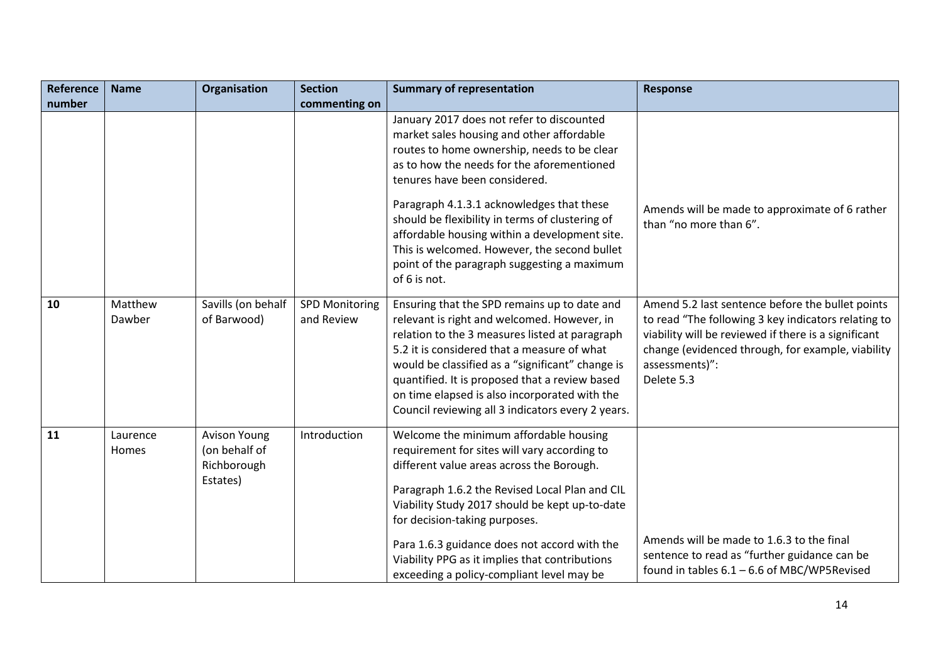| <b>Reference</b> | <b>Name</b>       | Organisation                                                    | <b>Section</b>                      | <b>Summary of representation</b>                                                                                                                                                                                                                                                                                                                                                                                                                                                     | <b>Response</b>                                                                                                                                                                                                                                      |
|------------------|-------------------|-----------------------------------------------------------------|-------------------------------------|--------------------------------------------------------------------------------------------------------------------------------------------------------------------------------------------------------------------------------------------------------------------------------------------------------------------------------------------------------------------------------------------------------------------------------------------------------------------------------------|------------------------------------------------------------------------------------------------------------------------------------------------------------------------------------------------------------------------------------------------------|
| number           |                   |                                                                 | commenting on                       |                                                                                                                                                                                                                                                                                                                                                                                                                                                                                      |                                                                                                                                                                                                                                                      |
|                  |                   |                                                                 |                                     | January 2017 does not refer to discounted<br>market sales housing and other affordable<br>routes to home ownership, needs to be clear<br>as to how the needs for the aforementioned<br>tenures have been considered.<br>Paragraph 4.1.3.1 acknowledges that these<br>should be flexibility in terms of clustering of<br>affordable housing within a development site.<br>This is welcomed. However, the second bullet<br>point of the paragraph suggesting a maximum<br>of 6 is not. | Amends will be made to approximate of 6 rather<br>than "no more than 6".                                                                                                                                                                             |
| 10               | Matthew<br>Dawber | Savills (on behalf<br>of Barwood)                               | <b>SPD Monitoring</b><br>and Review | Ensuring that the SPD remains up to date and<br>relevant is right and welcomed. However, in<br>relation to the 3 measures listed at paragraph<br>5.2 it is considered that a measure of what<br>would be classified as a "significant" change is<br>quantified. It is proposed that a review based<br>on time elapsed is also incorporated with the<br>Council reviewing all 3 indicators every 2 years.                                                                             | Amend 5.2 last sentence before the bullet points<br>to read "The following 3 key indicators relating to<br>viability will be reviewed if there is a significant<br>change (evidenced through, for example, viability<br>assessments)":<br>Delete 5.3 |
| 11               | Laurence<br>Homes | <b>Avison Young</b><br>(on behalf of<br>Richborough<br>Estates) | Introduction                        | Welcome the minimum affordable housing<br>requirement for sites will vary according to<br>different value areas across the Borough.<br>Paragraph 1.6.2 the Revised Local Plan and CIL<br>Viability Study 2017 should be kept up-to-date<br>for decision-taking purposes.<br>Para 1.6.3 guidance does not accord with the<br>Viability PPG as it implies that contributions<br>exceeding a policy-compliant level may be                                                              | Amends will be made to 1.6.3 to the final<br>sentence to read as "further guidance can be<br>found in tables 6.1 - 6.6 of MBC/WP5Revised                                                                                                             |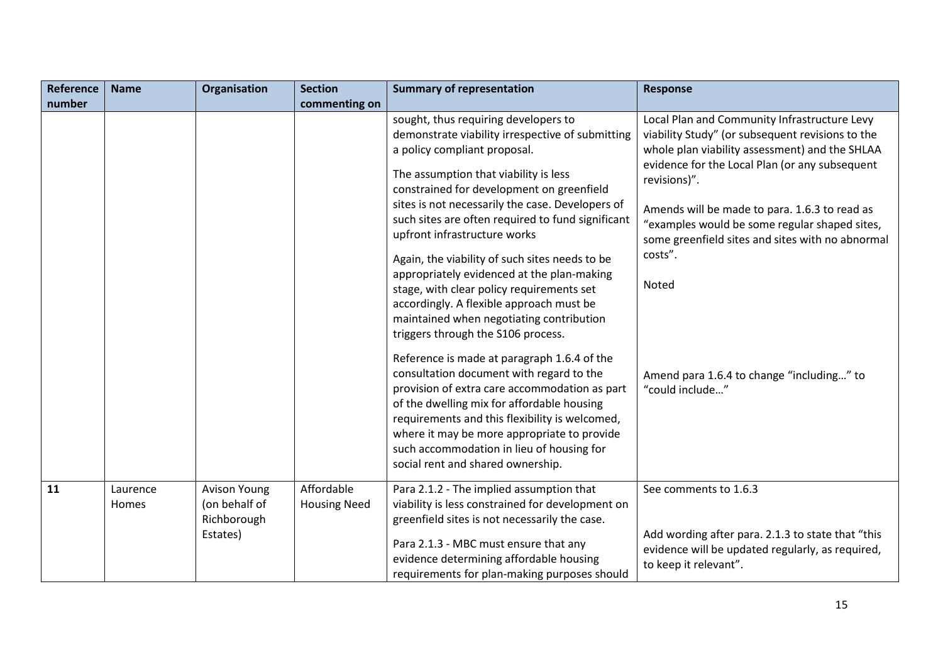| <b>Reference</b> | <b>Name</b>       | Organisation                                                    | <b>Section</b>                    | <b>Summary of representation</b>                                                                                                                                                                                                                                                                                                                                                                                                                                                                                                                                                                                                                                                  | <b>Response</b>                                                                                                                                                                                                                                                                                                                                                                                |
|------------------|-------------------|-----------------------------------------------------------------|-----------------------------------|-----------------------------------------------------------------------------------------------------------------------------------------------------------------------------------------------------------------------------------------------------------------------------------------------------------------------------------------------------------------------------------------------------------------------------------------------------------------------------------------------------------------------------------------------------------------------------------------------------------------------------------------------------------------------------------|------------------------------------------------------------------------------------------------------------------------------------------------------------------------------------------------------------------------------------------------------------------------------------------------------------------------------------------------------------------------------------------------|
| number           |                   |                                                                 | commenting on                     |                                                                                                                                                                                                                                                                                                                                                                                                                                                                                                                                                                                                                                                                                   |                                                                                                                                                                                                                                                                                                                                                                                                |
|                  |                   |                                                                 |                                   | sought, thus requiring developers to<br>demonstrate viability irrespective of submitting<br>a policy compliant proposal.<br>The assumption that viability is less<br>constrained for development on greenfield<br>sites is not necessarily the case. Developers of<br>such sites are often required to fund significant<br>upfront infrastructure works<br>Again, the viability of such sites needs to be<br>appropriately evidenced at the plan-making<br>stage, with clear policy requirements set<br>accordingly. A flexible approach must be<br>maintained when negotiating contribution<br>triggers through the S106 process.<br>Reference is made at paragraph 1.6.4 of the | Local Plan and Community Infrastructure Levy<br>viability Study" (or subsequent revisions to the<br>whole plan viability assessment) and the SHLAA<br>evidence for the Local Plan (or any subsequent<br>revisions)".<br>Amends will be made to para. 1.6.3 to read as<br>"examples would be some regular shaped sites,<br>some greenfield sites and sites with no abnormal<br>costs".<br>Noted |
|                  |                   |                                                                 |                                   | consultation document with regard to the<br>provision of extra care accommodation as part<br>of the dwelling mix for affordable housing<br>requirements and this flexibility is welcomed,<br>where it may be more appropriate to provide<br>such accommodation in lieu of housing for<br>social rent and shared ownership.                                                                                                                                                                                                                                                                                                                                                        | Amend para 1.6.4 to change "including" to<br>"could include"                                                                                                                                                                                                                                                                                                                                   |
| 11               | Laurence<br>Homes | <b>Avison Young</b><br>(on behalf of<br>Richborough<br>Estates) | Affordable<br><b>Housing Need</b> | Para 2.1.2 - The implied assumption that<br>viability is less constrained for development on<br>greenfield sites is not necessarily the case.<br>Para 2.1.3 - MBC must ensure that any<br>evidence determining affordable housing<br>requirements for plan-making purposes should                                                                                                                                                                                                                                                                                                                                                                                                 | See comments to 1.6.3<br>Add wording after para. 2.1.3 to state that "this<br>evidence will be updated regularly, as required,<br>to keep it relevant".                                                                                                                                                                                                                                        |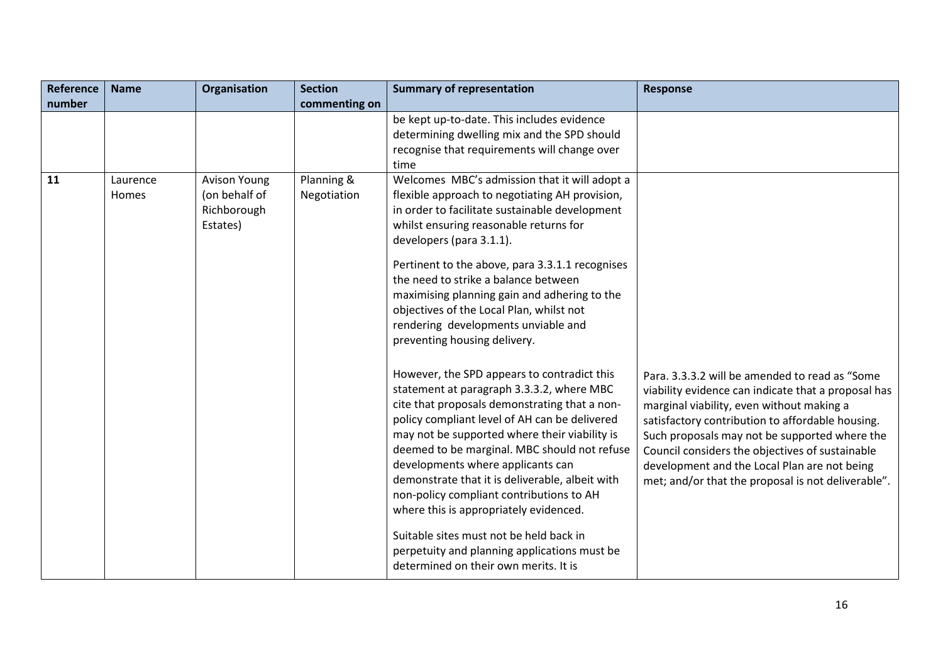| <b>Reference</b> | <b>Name</b>       | Organisation                                                    | <b>Section</b>            | <b>Summary of representation</b>                                                                                                                                                                                                                                                                                                                                                                                                                                                                                                                                                                                                                                                                                                                                                                                                                                                                                                                                                                                                                                                                       | <b>Response</b>                                                                                                                                                                                                                                                                                                                                                                                                  |
|------------------|-------------------|-----------------------------------------------------------------|---------------------------|--------------------------------------------------------------------------------------------------------------------------------------------------------------------------------------------------------------------------------------------------------------------------------------------------------------------------------------------------------------------------------------------------------------------------------------------------------------------------------------------------------------------------------------------------------------------------------------------------------------------------------------------------------------------------------------------------------------------------------------------------------------------------------------------------------------------------------------------------------------------------------------------------------------------------------------------------------------------------------------------------------------------------------------------------------------------------------------------------------|------------------------------------------------------------------------------------------------------------------------------------------------------------------------------------------------------------------------------------------------------------------------------------------------------------------------------------------------------------------------------------------------------------------|
| number           |                   |                                                                 | commenting on             |                                                                                                                                                                                                                                                                                                                                                                                                                                                                                                                                                                                                                                                                                                                                                                                                                                                                                                                                                                                                                                                                                                        |                                                                                                                                                                                                                                                                                                                                                                                                                  |
|                  |                   |                                                                 |                           | be kept up-to-date. This includes evidence<br>determining dwelling mix and the SPD should<br>recognise that requirements will change over<br>time                                                                                                                                                                                                                                                                                                                                                                                                                                                                                                                                                                                                                                                                                                                                                                                                                                                                                                                                                      |                                                                                                                                                                                                                                                                                                                                                                                                                  |
| 11               | Laurence<br>Homes | <b>Avison Young</b><br>(on behalf of<br>Richborough<br>Estates) | Planning &<br>Negotiation | Welcomes MBC's admission that it will adopt a<br>flexible approach to negotiating AH provision,<br>in order to facilitate sustainable development<br>whilst ensuring reasonable returns for<br>developers (para 3.1.1).<br>Pertinent to the above, para 3.3.1.1 recognises<br>the need to strike a balance between<br>maximising planning gain and adhering to the<br>objectives of the Local Plan, whilst not<br>rendering developments unviable and<br>preventing housing delivery.<br>However, the SPD appears to contradict this<br>statement at paragraph 3.3.3.2, where MBC<br>cite that proposals demonstrating that a non-<br>policy compliant level of AH can be delivered<br>may not be supported where their viability is<br>deemed to be marginal. MBC should not refuse<br>developments where applicants can<br>demonstrate that it is deliverable, albeit with<br>non-policy compliant contributions to AH<br>where this is appropriately evidenced.<br>Suitable sites must not be held back in<br>perpetuity and planning applications must be<br>determined on their own merits. It is | Para. 3.3.3.2 will be amended to read as "Some<br>viability evidence can indicate that a proposal has<br>marginal viability, even without making a<br>satisfactory contribution to affordable housing.<br>Such proposals may not be supported where the<br>Council considers the objectives of sustainable<br>development and the Local Plan are not being<br>met; and/or that the proposal is not deliverable". |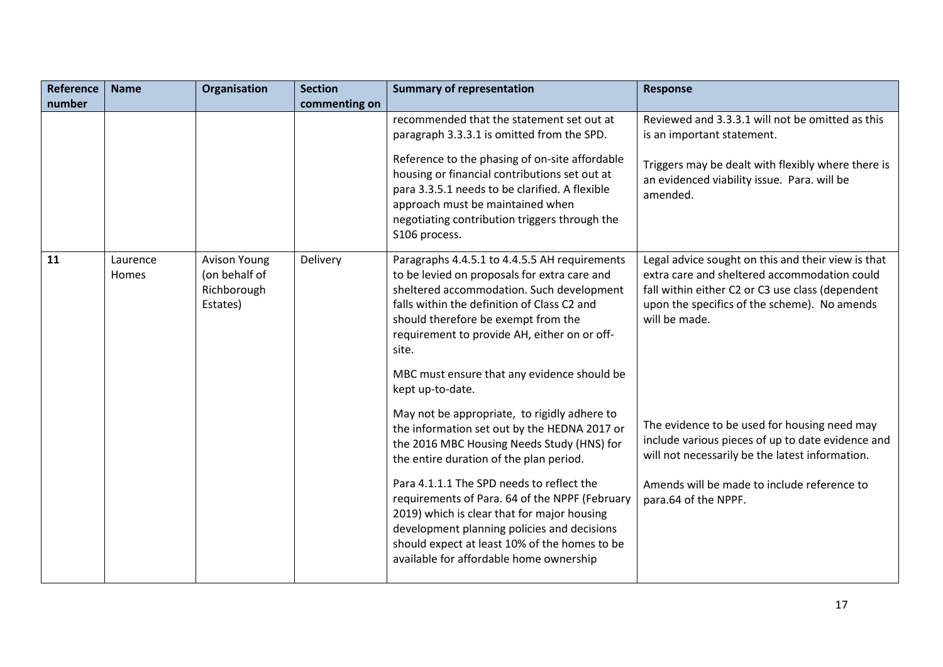| <b>Reference</b> | <b>Name</b>       | Organisation                                                    | <b>Section</b> | <b>Summary of representation</b>                                                                                                                                                                                                                                                                                                                                                                                                                                               | <b>Response</b>                                                                                                                                                                                                             |
|------------------|-------------------|-----------------------------------------------------------------|----------------|--------------------------------------------------------------------------------------------------------------------------------------------------------------------------------------------------------------------------------------------------------------------------------------------------------------------------------------------------------------------------------------------------------------------------------------------------------------------------------|-----------------------------------------------------------------------------------------------------------------------------------------------------------------------------------------------------------------------------|
| number           |                   |                                                                 | commenting on  |                                                                                                                                                                                                                                                                                                                                                                                                                                                                                |                                                                                                                                                                                                                             |
|                  |                   |                                                                 |                | recommended that the statement set out at                                                                                                                                                                                                                                                                                                                                                                                                                                      | Reviewed and 3.3.3.1 will not be omitted as this                                                                                                                                                                            |
|                  |                   |                                                                 |                | paragraph 3.3.3.1 is omitted from the SPD.                                                                                                                                                                                                                                                                                                                                                                                                                                     | is an important statement.                                                                                                                                                                                                  |
|                  |                   |                                                                 |                | Reference to the phasing of on-site affordable<br>housing or financial contributions set out at<br>para 3.3.5.1 needs to be clarified. A flexible<br>approach must be maintained when<br>negotiating contribution triggers through the<br>S106 process.                                                                                                                                                                                                                        | Triggers may be dealt with flexibly where there is<br>an evidenced viability issue. Para. will be<br>amended.                                                                                                               |
| 11               | Laurence<br>Homes | <b>Avison Young</b><br>(on behalf of<br>Richborough<br>Estates) | Delivery       | Paragraphs 4.4.5.1 to 4.4.5.5 AH requirements<br>to be levied on proposals for extra care and<br>sheltered accommodation. Such development<br>falls within the definition of Class C2 and<br>should therefore be exempt from the<br>requirement to provide AH, either on or off-<br>site.<br>MBC must ensure that any evidence should be<br>kept up-to-date.                                                                                                                   | Legal advice sought on this and their view is that<br>extra care and sheltered accommodation could<br>fall within either C2 or C3 use class (dependent<br>upon the specifics of the scheme). No amends<br>will be made.     |
|                  |                   |                                                                 |                | May not be appropriate, to rigidly adhere to<br>the information set out by the HEDNA 2017 or<br>the 2016 MBC Housing Needs Study (HNS) for<br>the entire duration of the plan period.<br>Para 4.1.1.1 The SPD needs to reflect the<br>requirements of Para. 64 of the NPPF (February<br>2019) which is clear that for major housing<br>development planning policies and decisions<br>should expect at least 10% of the homes to be<br>available for affordable home ownership | The evidence to be used for housing need may<br>include various pieces of up to date evidence and<br>will not necessarily be the latest information.<br>Amends will be made to include reference to<br>para.64 of the NPPF. |
|                  |                   |                                                                 |                |                                                                                                                                                                                                                                                                                                                                                                                                                                                                                |                                                                                                                                                                                                                             |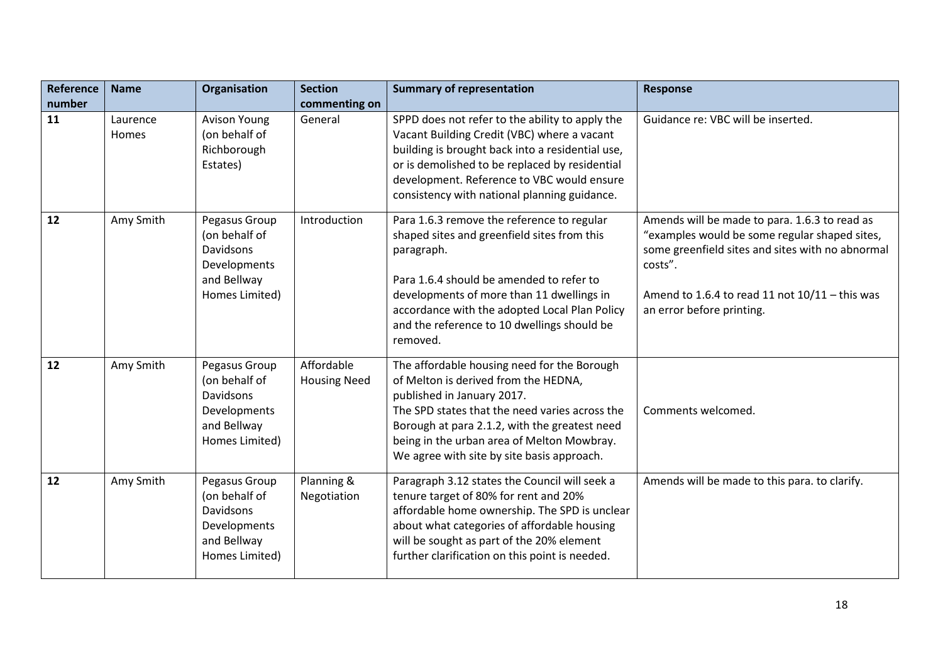| Reference | <b>Name</b>       | Organisation                                                                                 | <b>Section</b>                    | <b>Summary of representation</b>                                                                                                                                                                                                                                                                                 | <b>Response</b>                                                                                                                                                                                                                                |
|-----------|-------------------|----------------------------------------------------------------------------------------------|-----------------------------------|------------------------------------------------------------------------------------------------------------------------------------------------------------------------------------------------------------------------------------------------------------------------------------------------------------------|------------------------------------------------------------------------------------------------------------------------------------------------------------------------------------------------------------------------------------------------|
| number    |                   |                                                                                              | commenting on                     |                                                                                                                                                                                                                                                                                                                  |                                                                                                                                                                                                                                                |
| 11        | Laurence<br>Homes | <b>Avison Young</b><br>(on behalf of<br>Richborough<br>Estates)                              | General                           | SPPD does not refer to the ability to apply the<br>Vacant Building Credit (VBC) where a vacant<br>building is brought back into a residential use,<br>or is demolished to be replaced by residential<br>development. Reference to VBC would ensure<br>consistency with national planning guidance.               | Guidance re: VBC will be inserted.                                                                                                                                                                                                             |
| 12        | Amy Smith         | Pegasus Group<br>(on behalf of<br>Davidsons<br>Developments<br>and Bellway<br>Homes Limited) | Introduction                      | Para 1.6.3 remove the reference to regular<br>shaped sites and greenfield sites from this<br>paragraph.<br>Para 1.6.4 should be amended to refer to<br>developments of more than 11 dwellings in<br>accordance with the adopted Local Plan Policy<br>and the reference to 10 dwellings should be<br>removed.     | Amends will be made to para. 1.6.3 to read as<br>"examples would be some regular shaped sites,<br>some greenfield sites and sites with no abnormal<br>costs".<br>Amend to 1.6.4 to read 11 not $10/11$ - this was<br>an error before printing. |
| 12        | Amy Smith         | Pegasus Group<br>(on behalf of<br>Davidsons<br>Developments<br>and Bellway<br>Homes Limited) | Affordable<br><b>Housing Need</b> | The affordable housing need for the Borough<br>of Melton is derived from the HEDNA,<br>published in January 2017.<br>The SPD states that the need varies across the<br>Borough at para 2.1.2, with the greatest need<br>being in the urban area of Melton Mowbray.<br>We agree with site by site basis approach. | Comments welcomed.                                                                                                                                                                                                                             |
| 12        | Amy Smith         | Pegasus Group<br>(on behalf of<br>Davidsons<br>Developments<br>and Bellway<br>Homes Limited) | Planning &<br>Negotiation         | Paragraph 3.12 states the Council will seek a<br>tenure target of 80% for rent and 20%<br>affordable home ownership. The SPD is unclear<br>about what categories of affordable housing<br>will be sought as part of the 20% element<br>further clarification on this point is needed.                            | Amends will be made to this para. to clarify.                                                                                                                                                                                                  |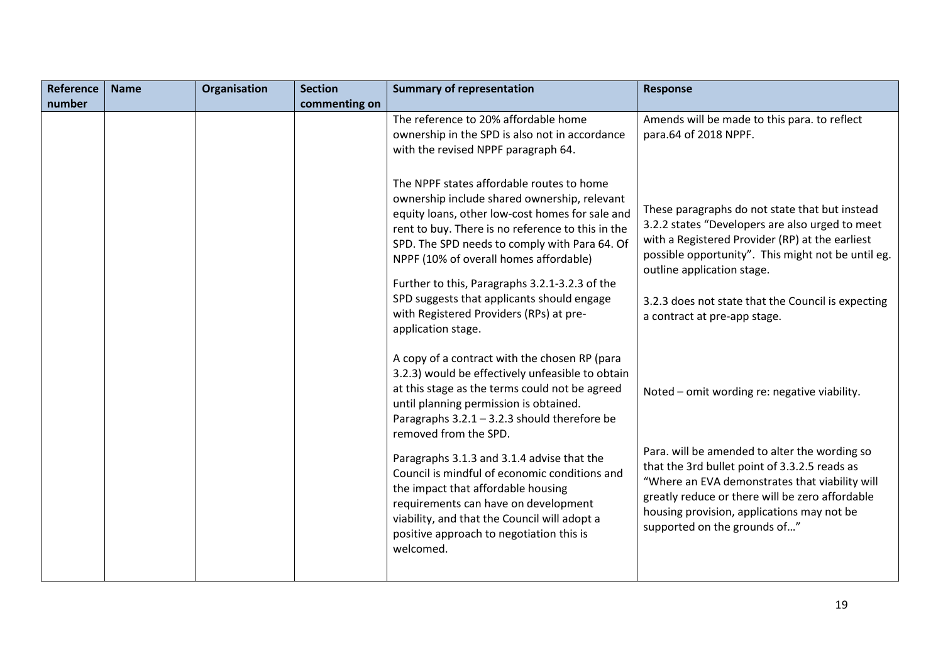| Reference | <b>Name</b> | Organisation | <b>Section</b> | <b>Summary of representation</b>                                                                                                                                                                                                                                                                                                                                                                                                                                                                                                                               | <b>Response</b>                                                                                                                                                                                                                                                                                                                   |
|-----------|-------------|--------------|----------------|----------------------------------------------------------------------------------------------------------------------------------------------------------------------------------------------------------------------------------------------------------------------------------------------------------------------------------------------------------------------------------------------------------------------------------------------------------------------------------------------------------------------------------------------------------------|-----------------------------------------------------------------------------------------------------------------------------------------------------------------------------------------------------------------------------------------------------------------------------------------------------------------------------------|
| number    |             |              | commenting on  |                                                                                                                                                                                                                                                                                                                                                                                                                                                                                                                                                                |                                                                                                                                                                                                                                                                                                                                   |
|           |             |              |                | The reference to 20% affordable home<br>ownership in the SPD is also not in accordance<br>with the revised NPPF paragraph 64.                                                                                                                                                                                                                                                                                                                                                                                                                                  | Amends will be made to this para. to reflect<br>para.64 of 2018 NPPF.                                                                                                                                                                                                                                                             |
|           |             |              |                | The NPPF states affordable routes to home<br>ownership include shared ownership, relevant<br>equity loans, other low-cost homes for sale and<br>rent to buy. There is no reference to this in the<br>SPD. The SPD needs to comply with Para 64. Of<br>NPPF (10% of overall homes affordable)<br>Further to this, Paragraphs 3.2.1-3.2.3 of the<br>SPD suggests that applicants should engage<br>with Registered Providers (RPs) at pre-<br>application stage.                                                                                                  | These paragraphs do not state that but instead<br>3.2.2 states "Developers are also urged to meet<br>with a Registered Provider (RP) at the earliest<br>possible opportunity". This might not be until eg.<br>outline application stage.<br>3.2.3 does not state that the Council is expecting<br>a contract at pre-app stage.    |
|           |             |              |                | A copy of a contract with the chosen RP (para<br>3.2.3) would be effectively unfeasible to obtain<br>at this stage as the terms could not be agreed<br>until planning permission is obtained.<br>Paragraphs $3.2.1 - 3.2.3$ should therefore be<br>removed from the SPD.<br>Paragraphs 3.1.3 and 3.1.4 advise that the<br>Council is mindful of economic conditions and<br>the impact that affordable housing<br>requirements can have on development<br>viability, and that the Council will adopt a<br>positive approach to negotiation this is<br>welcomed. | Noted - omit wording re: negative viability.<br>Para. will be amended to alter the wording so<br>that the 3rd bullet point of 3.3.2.5 reads as<br>"Where an EVA demonstrates that viability will<br>greatly reduce or there will be zero affordable<br>housing provision, applications may not be<br>supported on the grounds of" |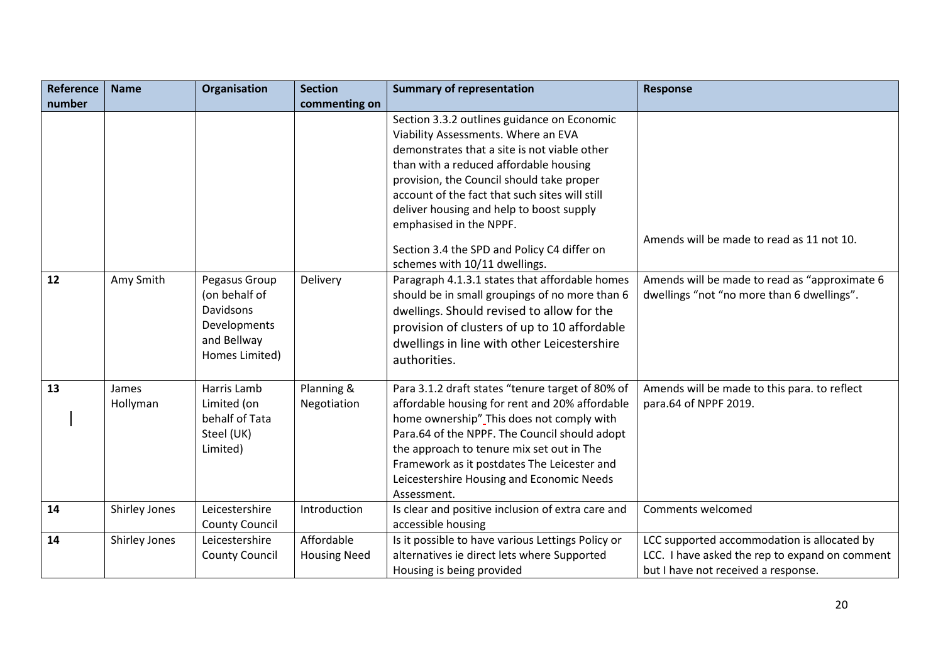| <b>Reference</b> | <b>Name</b>   | Organisation          | <b>Section</b>      | <b>Summary of representation</b>                  | <b>Response</b>                                |
|------------------|---------------|-----------------------|---------------------|---------------------------------------------------|------------------------------------------------|
| number           |               |                       | commenting on       |                                                   |                                                |
|                  |               |                       |                     | Section 3.3.2 outlines guidance on Economic       |                                                |
|                  |               |                       |                     | Viability Assessments. Where an EVA               |                                                |
|                  |               |                       |                     | demonstrates that a site is not viable other      |                                                |
|                  |               |                       |                     | than with a reduced affordable housing            |                                                |
|                  |               |                       |                     | provision, the Council should take proper         |                                                |
|                  |               |                       |                     | account of the fact that such sites will still    |                                                |
|                  |               |                       |                     | deliver housing and help to boost supply          |                                                |
|                  |               |                       |                     | emphasised in the NPPF.                           |                                                |
|                  |               |                       |                     | Section 3.4 the SPD and Policy C4 differ on       | Amends will be made to read as 11 not 10.      |
|                  |               |                       |                     | schemes with 10/11 dwellings.                     |                                                |
| 12               | Amy Smith     | Pegasus Group         | Delivery            | Paragraph 4.1.3.1 states that affordable homes    | Amends will be made to read as "approximate 6  |
|                  |               | (on behalf of         |                     | should be in small groupings of no more than 6    | dwellings "not "no more than 6 dwellings".     |
|                  |               | Davidsons             |                     | dwellings. Should revised to allow for the        |                                                |
|                  |               | Developments          |                     | provision of clusters of up to 10 affordable      |                                                |
|                  |               | and Bellway           |                     | dwellings in line with other Leicestershire       |                                                |
|                  |               | Homes Limited)        |                     | authorities.                                      |                                                |
|                  |               |                       |                     |                                                   |                                                |
| 13               | James         | Harris Lamb           | Planning &          | Para 3.1.2 draft states "tenure target of 80% of  | Amends will be made to this para. to reflect   |
|                  | Hollyman      | Limited (on           | Negotiation         | affordable housing for rent and 20% affordable    | para.64 of NPPF 2019.                          |
|                  |               | behalf of Tata        |                     | home ownership" This does not comply with         |                                                |
|                  |               | Steel (UK)            |                     | Para.64 of the NPPF. The Council should adopt     |                                                |
|                  |               | Limited)              |                     | the approach to tenure mix set out in The         |                                                |
|                  |               |                       |                     | Framework as it postdates The Leicester and       |                                                |
|                  |               |                       |                     | Leicestershire Housing and Economic Needs         |                                                |
|                  |               |                       |                     | Assessment.                                       |                                                |
| 14               | Shirley Jones | Leicestershire        | Introduction        | Is clear and positive inclusion of extra care and | Comments welcomed                              |
|                  |               | <b>County Council</b> |                     | accessible housing                                |                                                |
| 14               | Shirley Jones | Leicestershire        | Affordable          | Is it possible to have various Lettings Policy or | LCC supported accommodation is allocated by    |
|                  |               | <b>County Council</b> | <b>Housing Need</b> | alternatives ie direct lets where Supported       | LCC. I have asked the rep to expand on comment |
|                  |               |                       |                     | Housing is being provided                         | but I have not received a response.            |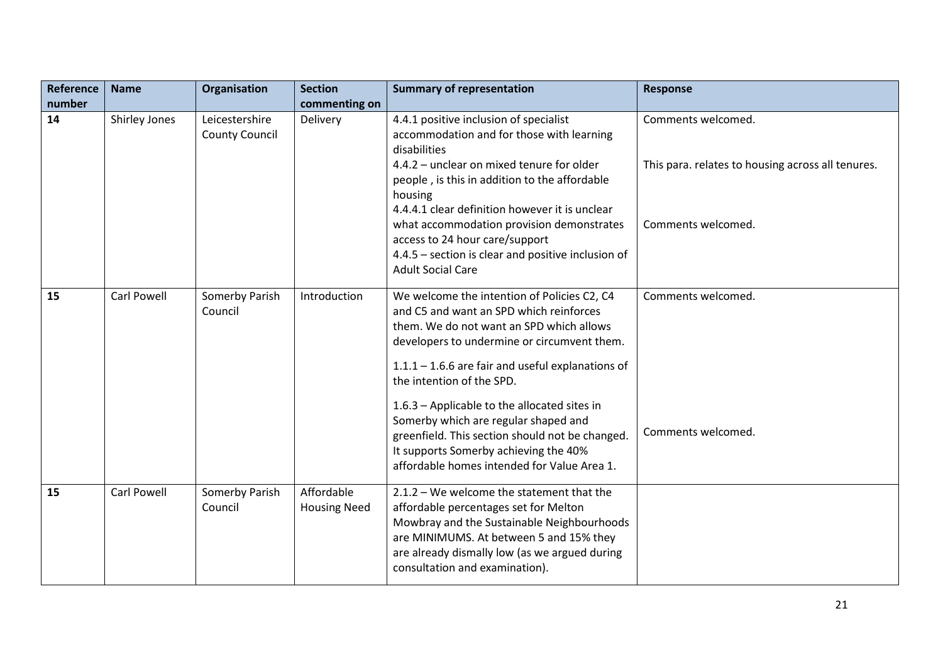| Reference | <b>Name</b>        | Organisation                            | <b>Section</b>                    | <b>Summary of representation</b>                                                                                                                                                                                                                                                                                                                                                                                                                                                                         | <b>Response</b>                                                                               |
|-----------|--------------------|-----------------------------------------|-----------------------------------|----------------------------------------------------------------------------------------------------------------------------------------------------------------------------------------------------------------------------------------------------------------------------------------------------------------------------------------------------------------------------------------------------------------------------------------------------------------------------------------------------------|-----------------------------------------------------------------------------------------------|
| number    |                    |                                         | commenting on                     |                                                                                                                                                                                                                                                                                                                                                                                                                                                                                                          |                                                                                               |
| 14        | Shirley Jones      | Leicestershire<br><b>County Council</b> | Delivery                          | 4.4.1 positive inclusion of specialist<br>accommodation and for those with learning<br>disabilities<br>4.4.2 - unclear on mixed tenure for older<br>people, is this in addition to the affordable<br>housing<br>4.4.4.1 clear definition however it is unclear<br>what accommodation provision demonstrates<br>access to 24 hour care/support<br>4.4.5 - section is clear and positive inclusion of                                                                                                      | Comments welcomed.<br>This para. relates to housing across all tenures.<br>Comments welcomed. |
|           |                    |                                         |                                   | <b>Adult Social Care</b>                                                                                                                                                                                                                                                                                                                                                                                                                                                                                 |                                                                                               |
| 15        | <b>Carl Powell</b> | Somerby Parish<br>Council               | Introduction                      | We welcome the intention of Policies C2, C4<br>and C5 and want an SPD which reinforces<br>them. We do not want an SPD which allows<br>developers to undermine or circumvent them.<br>$1.1.1 - 1.6.6$ are fair and useful explanations of<br>the intention of the SPD.<br>1.6.3 - Applicable to the allocated sites in<br>Somerby which are regular shaped and<br>greenfield. This section should not be changed.<br>It supports Somerby achieving the 40%<br>affordable homes intended for Value Area 1. | Comments welcomed.<br>Comments welcomed.                                                      |
| 15        | <b>Carl Powell</b> | Somerby Parish<br>Council               | Affordable<br><b>Housing Need</b> | $2.1.2$ – We welcome the statement that the<br>affordable percentages set for Melton<br>Mowbray and the Sustainable Neighbourhoods<br>are MINIMUMS. At between 5 and 15% they<br>are already dismally low (as we argued during<br>consultation and examination).                                                                                                                                                                                                                                         |                                                                                               |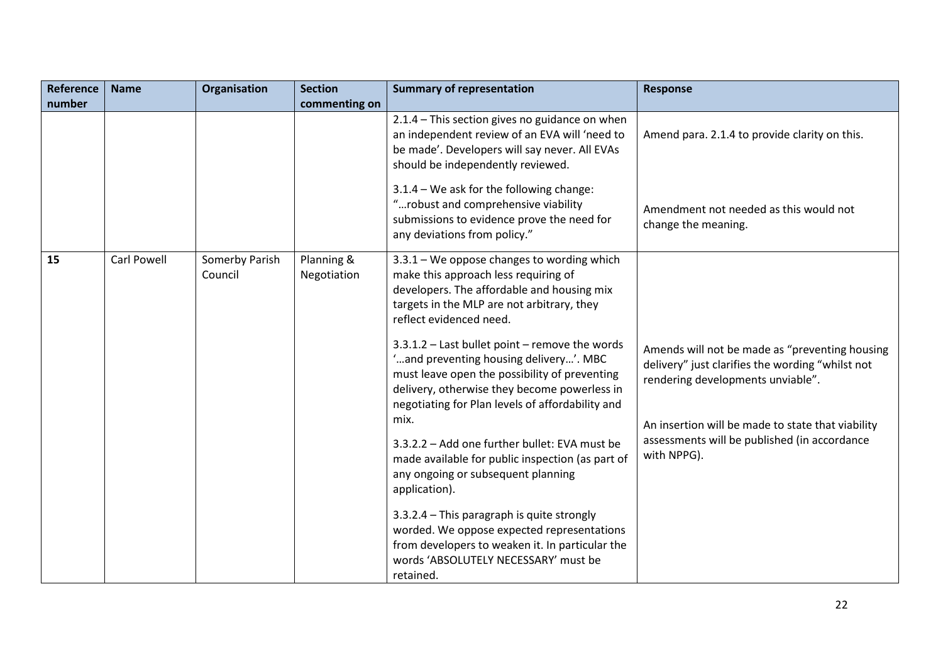| Reference | <b>Name</b>        | Organisation              | <b>Section</b>            | <b>Summary of representation</b>                                                                                                                                                                                                                      | <b>Response</b>                                                                                                                         |
|-----------|--------------------|---------------------------|---------------------------|-------------------------------------------------------------------------------------------------------------------------------------------------------------------------------------------------------------------------------------------------------|-----------------------------------------------------------------------------------------------------------------------------------------|
| number    |                    |                           | commenting on             |                                                                                                                                                                                                                                                       |                                                                                                                                         |
|           |                    |                           |                           | 2.1.4 - This section gives no guidance on when<br>an independent review of an EVA will 'need to<br>be made'. Developers will say never. All EVAs<br>should be independently reviewed.                                                                 | Amend para. 2.1.4 to provide clarity on this.                                                                                           |
|           |                    |                           |                           | 3.1.4 - We ask for the following change:<br>"robust and comprehensive viability<br>submissions to evidence prove the need for<br>any deviations from policy."                                                                                         | Amendment not needed as this would not<br>change the meaning.                                                                           |
| 15        | <b>Carl Powell</b> | Somerby Parish<br>Council | Planning &<br>Negotiation | $3.3.1$ – We oppose changes to wording which<br>make this approach less requiring of<br>developers. The affordable and housing mix<br>targets in the MLP are not arbitrary, they<br>reflect evidenced need.                                           |                                                                                                                                         |
|           |                    |                           |                           | 3.3.1.2 - Last bullet point - remove the words<br>"and preventing housing delivery". MBC<br>must leave open the possibility of preventing<br>delivery, otherwise they become powerless in<br>negotiating for Plan levels of affordability and<br>mix. | Amends will not be made as "preventing housing<br>delivery" just clarifies the wording "whilst not<br>rendering developments unviable". |
|           |                    |                           |                           | 3.3.2.2 - Add one further bullet: EVA must be<br>made available for public inspection (as part of<br>any ongoing or subsequent planning<br>application).                                                                                              | An insertion will be made to state that viability<br>assessments will be published (in accordance<br>with NPPG).                        |
|           |                    |                           |                           | 3.3.2.4 - This paragraph is quite strongly<br>worded. We oppose expected representations<br>from developers to weaken it. In particular the<br>words 'ABSOLUTELY NECESSARY' must be<br>retained.                                                      |                                                                                                                                         |